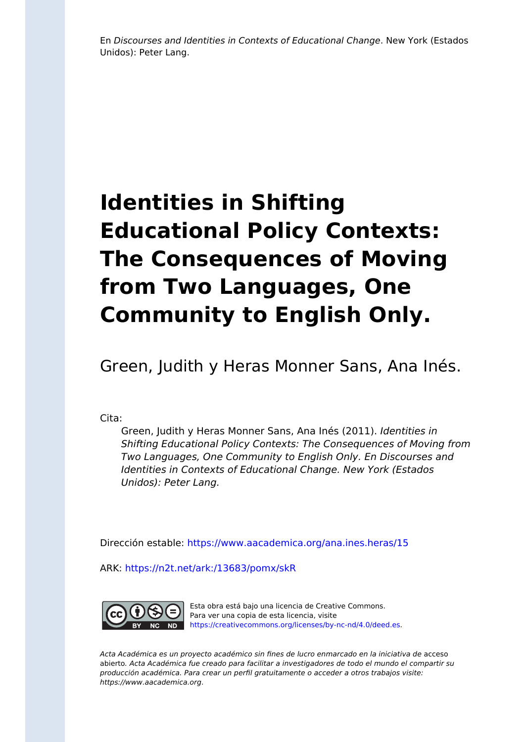En Discourses and Identities in Contexts of Educational Change. New York (Estados Unidos): Peter Lang.

# **Identities in Shifting Educational Policy Contexts: The Consequences of Moving from Two Languages, One Community to English Only.**

Green, Judith y Heras Monner Sans, Ana Inés.

Cita:

Green, Judith y Heras Monner Sans, Ana Inés (2011). Identities in Shifting Educational Policy Contexts: The Consequences of Moving from Two Languages, One Community to English Only. En Discourses and Identities in Contexts of Educational Change. New York (Estados Unidos): Peter Lang.

Dirección estable:<https://www.aacademica.org/ana.ines.heras/15>

ARK: <https://n2t.net/ark:/13683/pomx/skR>



Esta obra está bajo una licencia de Creative Commons. Para ver una copia de esta licencia, visite [https://creativecommons.org/licenses/by-nc-nd/4.0/deed.es.](https://creativecommons.org/licenses/by-nc-nd/4.0/deed.es)

Acta Académica es un proyecto académico sin fines de lucro enmarcado en la iniciativa de acceso abierto. Acta Académica fue creado para facilitar a investigadores de todo el mundo el compartir su producción académica. Para crear un perfil gratuitamente o acceder a otros trabajos visite: https://www.aacademica.org.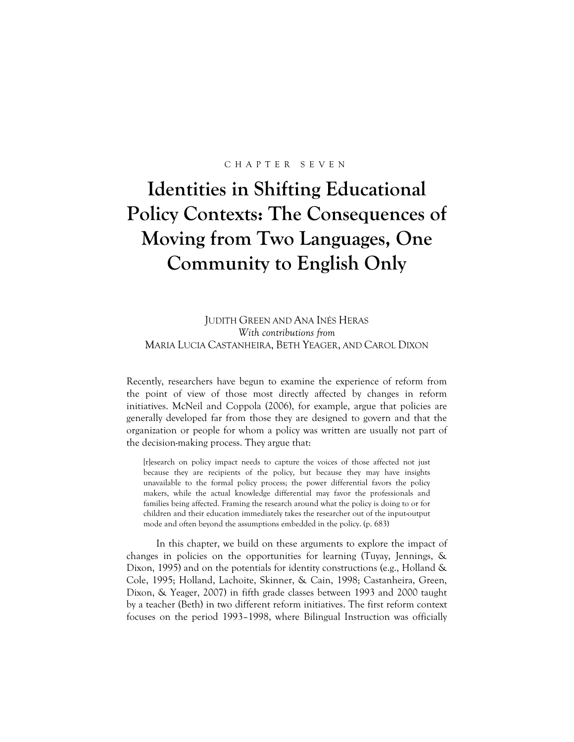#### CHAPTER SEVEN

# **Identities in Shifting Educational Policy Contexts: The Consequences of Moving from Two Languages, One Community to English Only**

JUDITH GREEN AND ANA INÉS HERAS *With contributions from*  MARIA LUCIA CASTANHEIRA, BETH YEAGER, AND CAROL DIXON

Recently, researchers have begun to examine the experience of reform from the point of view of those most directly affected by changes in reform initiatives. McNeil and Coppola (2006), for example, argue that policies are generally developed far from those they are designed to govern and that the organization or people for whom a policy was written are usually not part of the decision-making process. They argue that:

[r]esearch on policy impact needs to capture the voices of those affected not just because they are recipients of the policy, but because they may have insights unavailable to the formal policy process; the power differential favors the policy makers, while the actual knowledge differential may favor the professionals and families being affected. Framing the research around what the policy is doing to or for children and their education immediately takes the researcher out of the input-output mode and often beyond the assumptions embedded in the policy. (p. 683)

 In this chapter, we build on these arguments to explore the impact of changes in policies on the opportunities for learning (Tuyay, Jennings, & Dixon, 1995) and on the potentials for identity constructions (e.g., Holland & Cole, 1995; Holland, Lachoite, Skinner, & Cain, 1998; Castanheira, Green, Dixon, & Yeager, 2007) in fifth grade classes between 1993 and 2000 taught by a teacher (Beth) in two different reform initiatives. The first reform context focuses on the period 1993–1998, where Bilingual Instruction was officially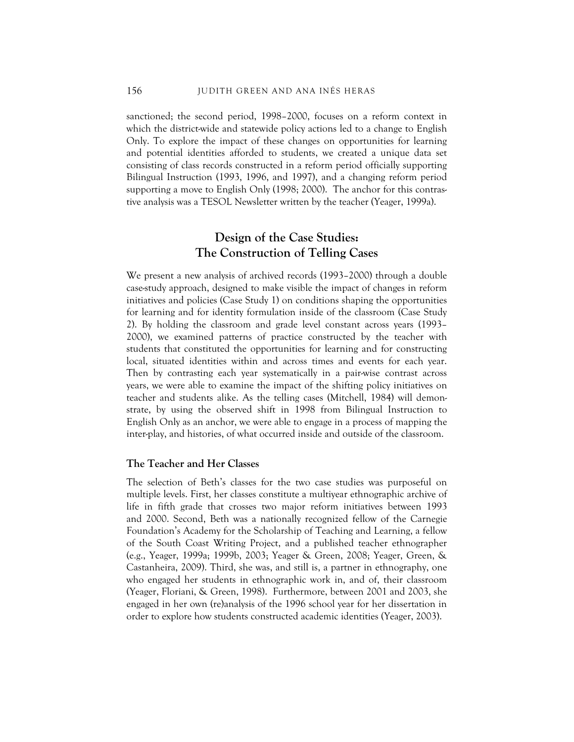sanctioned; the second period, 1998–2000, focuses on a reform context in which the district-wide and statewide policy actions led to a change to English Only. To explore the impact of these changes on opportunities for learning and potential identities afforded to students, we created a unique data set consisting of class records constructed in a reform period officially supporting Bilingual Instruction (1993, 1996, and 1997), and a changing reform period supporting a move to English Only (1998; 2000). The anchor for this contrastive analysis was a TESOL Newsletter written by the teacher (Yeager, 1999a).

# **Design of the Case Studies: The Construction of Telling Cases**

We present a new analysis of archived records (1993–2000) through a double case-study approach, designed to make visible the impact of changes in reform initiatives and policies (Case Study 1) on conditions shaping the opportunities for learning and for identity formulation inside of the classroom (Case Study 2). By holding the classroom and grade level constant across years (1993– 2000), we examined patterns of practice constructed by the teacher with students that constituted the opportunities for learning and for constructing local, situated identities within and across times and events for each year. Then by contrasting each year systematically in a pair-wise contrast across years, we were able to examine the impact of the shifting policy initiatives on teacher and students alike. As the telling cases (Mitchell, 1984) will demonstrate, by using the observed shift in 1998 from Bilingual Instruction to English Only as an anchor, we were able to engage in a process of mapping the inter-play, and histories, of what occurred inside and outside of the classroom.

#### **The Teacher and Her Classes**

The selection of Beth's classes for the two case studies was purposeful on multiple levels. First, her classes constitute a multiyear ethnographic archive of life in fifth grade that crosses two major reform initiatives between 1993 and 2000. Second, Beth was a nationally recognized fellow of the Carnegie Foundation's Academy for the Scholarship of Teaching and Learning, a fellow of the South Coast Writing Project, and a published teacher ethnographer (e.g., Yeager, 1999a; 1999b, 2003; Yeager & Green, 2008; Yeager, Green, & Castanheira, 2009). Third, she was, and still is, a partner in ethnography, one who engaged her students in ethnographic work in, and of, their classroom (Yeager, Floriani, & Green, 1998). Furthermore, between 2001 and 2003, she engaged in her own (re)analysis of the 1996 school year for her dissertation in order to explore how students constructed academic identities (Yeager, 2003).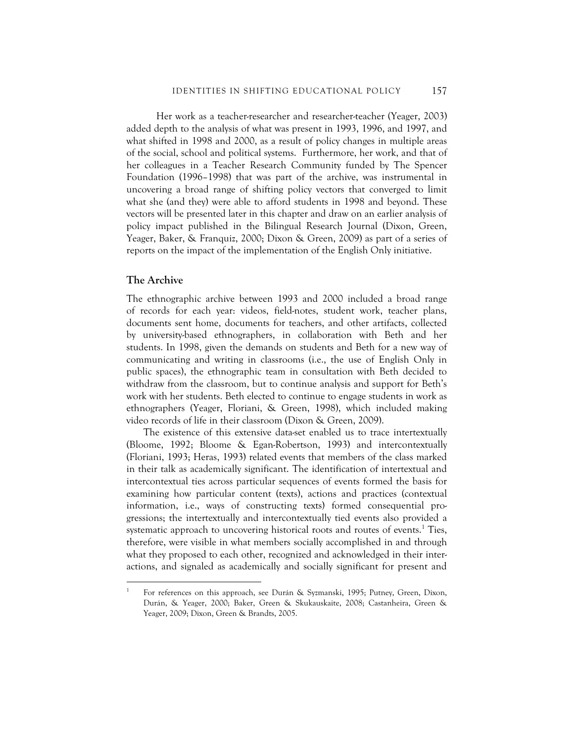Her work as a teacher-researcher and researcher-teacher (Yeager, 2003) added depth to the analysis of what was present in 1993, 1996, and 1997, and what shifted in 1998 and 2000, as a result of policy changes in multiple areas of the social, school and political systems. Furthermore, her work, and that of her colleagues in a Teacher Research Community funded by The Spencer Foundation (1996–1998) that was part of the archive, was instrumental in uncovering a broad range of shifting policy vectors that converged to limit what she (and they) were able to afford students in 1998 and beyond. These vectors will be presented later in this chapter and draw on an earlier analysis of policy impact published in the Bilingual Research Journal (Dixon, Green, Yeager, Baker, & Franquiz, 2000; Dixon & Green, 2009) as part of a series of reports on the impact of the implementation of the English Only initiative.

#### **The Archive**

<u>.</u>

The ethnographic archive between 1993 and 2000 included a broad range of records for each year: videos, field-notes, student work, teacher plans, documents sent home, documents for teachers, and other artifacts, collected by university-based ethnographers, in collaboration with Beth and her students. In 1998, given the demands on students and Beth for a new way of communicating and writing in classrooms (i.e., the use of English Only in public spaces), the ethnographic team in consultation with Beth decided to withdraw from the classroom, but to continue analysis and support for Beth's work with her students. Beth elected to continue to engage students in work as ethnographers (Yeager, Floriani, & Green, 1998), which included making video records of life in their classroom (Dixon & Green, 2009).

The existence of this extensive data-set enabled us to trace intertextually (Bloome, 1992; Bloome & Egan-Robertson, 1993) and intercontextually (Floriani, 1993; Heras, 1993) related events that members of the class marked in their talk as academically significant. The identification of intertextual and intercontextual ties across particular sequences of events formed the basis for examining how particular content (texts), actions and practices (contextual information, i.e., ways of constructing texts) formed consequential progressions; the intertextually and intercontextually tied events also provided a systematic approach to uncovering historical roots and routes of events.<sup>1</sup> Ties, therefore, were visible in what members socially accomplished in and through what they proposed to each other, recognized and acknowledged in their interactions, and signaled as academically and socially significant for present and

<sup>1</sup> For references on this approach, see Durán & Syzmanski, 1995; Putney, Green, Dixon, Durán, & Yeager, 2000; Baker, Green & Skukauskaite, 2008; Castanheira, Green & Yeager, 2009; Dixon, Green & Brandts, 2005.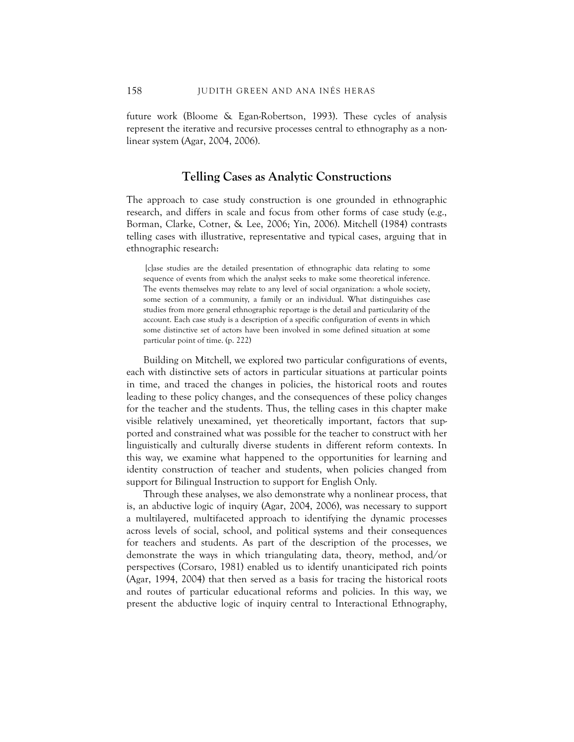future work (Bloome & Egan-Robertson, 1993). These cycles of analysis represent the iterative and recursive processes central to ethnography as a nonlinear system (Agar, 2004, 2006).

#### **Telling Cases as Analytic Constructions**

The approach to case study construction is one grounded in ethnographic research, and differs in scale and focus from other forms of case study (e.g., Borman, Clarke, Cotner, & Lee, 2006; Yin, 2006). Mitchell (1984) contrasts telling cases with illustrative, representative and typical cases, arguing that in ethnographic research:

 [c]ase studies are the detailed presentation of ethnographic data relating to some sequence of events from which the analyst seeks to make some theoretical inference. The events themselves may relate to any level of social organization: a whole society, some section of a community, a family or an individual. What distinguishes case studies from more general ethnographic reportage is the detail and particularity of the account. Each case study is a description of a specific configuration of events in which some distinctive set of actors have been involved in some defined situation at some particular point of time. (p. 222)

Building on Mitchell, we explored two particular configurations of events, each with distinctive sets of actors in particular situations at particular points in time, and traced the changes in policies, the historical roots and routes leading to these policy changes, and the consequences of these policy changes for the teacher and the students. Thus, the telling cases in this chapter make visible relatively unexamined, yet theoretically important, factors that supported and constrained what was possible for the teacher to construct with her linguistically and culturally diverse students in different reform contexts. In this way, we examine what happened to the opportunities for learning and identity construction of teacher and students, when policies changed from support for Bilingual Instruction to support for English Only.

Through these analyses, we also demonstrate why a nonlinear process, that is, an abductive logic of inquiry (Agar, 2004, 2006), was necessary to support a multilayered, multifaceted approach to identifying the dynamic processes across levels of social, school, and political systems and their consequences for teachers and students. As part of the description of the processes, we demonstrate the ways in which triangulating data, theory, method, and/or perspectives (Corsaro, 1981) enabled us to identify unanticipated rich points (Agar, 1994, 2004) that then served as a basis for tracing the historical roots and routes of particular educational reforms and policies. In this way, we present the abductive logic of inquiry central to Interactional Ethnography,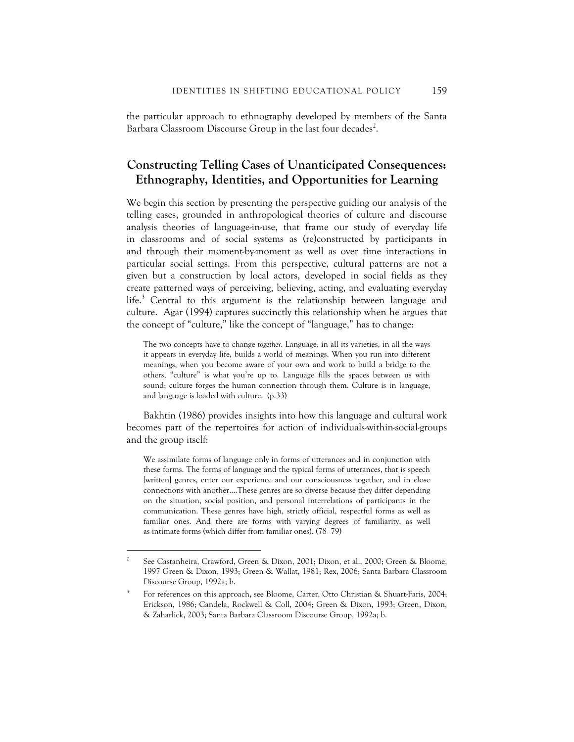the particular approach to ethnography developed by members of the Santa Barbara Classroom Discourse Group in the last four decades<sup>2</sup>.

# **Constructing Telling Cases of Unanticipated Consequences: Ethnography, Identities, and Opportunities for Learning**

We begin this section by presenting the perspective guiding our analysis of the telling cases, grounded in anthropological theories of culture and discourse analysis theories of language-in-use, that frame our study of everyday life in classrooms and of social systems as (re)constructed by participants in and through their moment-by-moment as well as over time interactions in particular social settings. From this perspective, cultural patterns are not a given but a construction by local actors, developed in social fields as they create patterned ways of perceiving, believing, acting, and evaluating everyday life.<sup>3</sup> Central to this argument is the relationship between language and culture. Agar (1994) captures succinctly this relationship when he argues that the concept of "culture," like the concept of "language," has to change:

The two concepts have to change *together*. Language, in all its varieties, in all the ways it appears in everyday life, builds a world of meanings. When you run into different meanings, when you become aware of your own and work to build a bridge to the others, "culture" is what you're up to. Language fills the spaces between us with sound; culture forges the human connection through them. Culture is in language, and language is loaded with culture. (p.33)

Bakhtin (1986) provides insights into how this language and cultural work becomes part of the repertoires for action of individuals-within-social-groups and the group itself:

We assimilate forms of language only in forms of utterances and in conjunction with these forms. The forms of language and the typical forms of utterances, that is speech [written] genres, enter our experience and our consciousness together, and in close connections with another….These genres are so diverse because they differ depending on the situation, social position, and personal interrelations of participants in the communication. These genres have high, strictly official, respectful forms as well as familiar ones. And there are forms with varying degrees of familiarity, as well as intimate forms (which differ from familiar ones). (78–79)

 $\overline{a}$ 

<sup>2</sup> See Castanheira, Crawford, Green & Dixon, 2001; Dixon, et al., 2000; Green & Bloome, 1997 Green & Dixon, 1993; Green & Wallat, 1981; Rex, 2006; Santa Barbara Classroom Discourse Group, 1992a; b.

<sup>3</sup> For references on this approach, see Bloome, Carter, Otto Christian & Shuart-Faris, 2004; Erickson, 1986; Candela, Rockwell & Coll, 2004; Green & Dixon, 1993; Green, Dixon, & Zaharlick, 2003; Santa Barbara Classroom Discourse Group, 1992a; b.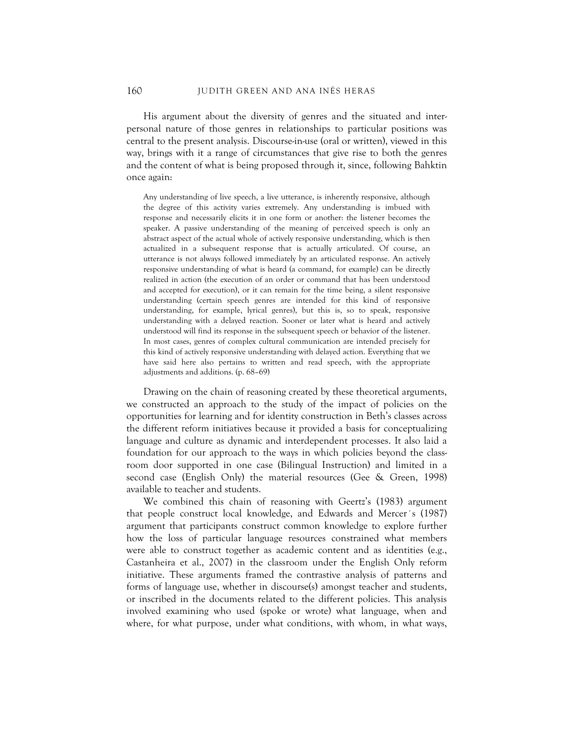His argument about the diversity of genres and the situated and interpersonal nature of those genres in relationships to particular positions was central to the present analysis. Discourse-in-use (oral or written), viewed in this way, brings with it a range of circumstances that give rise to both the genres and the content of what is being proposed through it, since, following Bahktin once again:

Any understanding of live speech, a live utterance, is inherently responsive, although the degree of this activity varies extremely. Any understanding is imbued with response and necessarily elicits it in one form or another: the listener becomes the speaker. A passive understanding of the meaning of perceived speech is only an abstract aspect of the actual whole of actively responsive understanding, which is then actualized in a subsequent response that is actually articulated. Of course, an utterance is not always followed immediately by an articulated response. An actively responsive understanding of what is heard (a command, for example) can be directly realized in action (the execution of an order or command that has been understood and accepted for execution), or it can remain for the time being, a silent responsive understanding (certain speech genres are intended for this kind of responsive understanding, for example, lyrical genres), but this is, so to speak, responsive understanding with a delayed reaction. Sooner or later what is heard and actively understood will find its response in the subsequent speech or behavior of the listener. In most cases, genres of complex cultural communication are intended precisely for this kind of actively responsive understanding with delayed action. Everything that we have said here also pertains to written and read speech, with the appropriate adjustments and additions. (p. 68–69)

Drawing on the chain of reasoning created by these theoretical arguments, we constructed an approach to the study of the impact of policies on the opportunities for learning and for identity construction in Beth's classes across the different reform initiatives because it provided a basis for conceptualizing language and culture as dynamic and interdependent processes. It also laid a foundation for our approach to the ways in which policies beyond the classroom door supported in one case (Bilingual Instruction) and limited in a second case (English Only) the material resources (Gee & Green, 1998) available to teacher and students.

We combined this chain of reasoning with Geertz's (1983) argument that people construct local knowledge, and Edwards and Mercer´s (1987) argument that participants construct common knowledge to explore further how the loss of particular language resources constrained what members were able to construct together as academic content and as identities (e.g., Castanheira et al., 2007) in the classroom under the English Only reform initiative. These arguments framed the contrastive analysis of patterns and forms of language use, whether in discourse(s) amongst teacher and students, or inscribed in the documents related to the different policies. This analysis involved examining who used (spoke or wrote) what language, when and where, for what purpose, under what conditions, with whom, in what ways,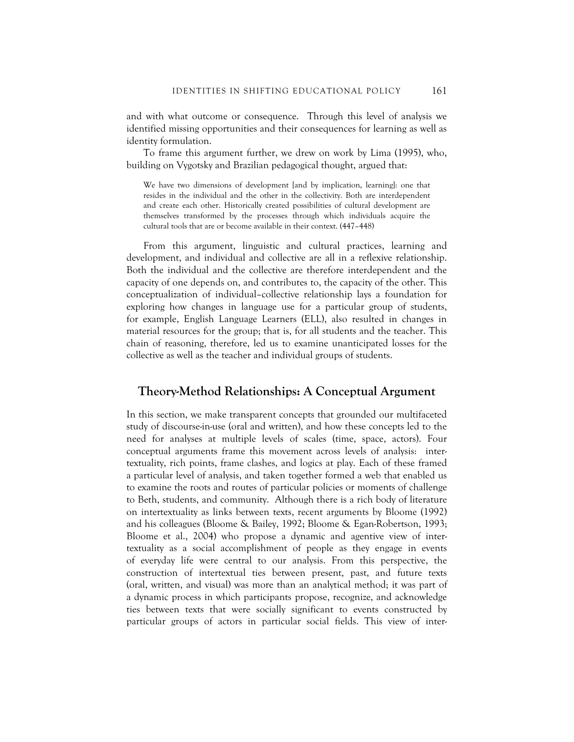and with what outcome or consequence. Through this level of analysis we identified missing opportunities and their consequences for learning as well as identity formulation.

To frame this argument further, we drew on work by Lima (1995), who, building on Vygotsky and Brazilian pedagogical thought, argued that:

We have two dimensions of development [and by implication, learning]: one that resides in the individual and the other in the collectivity. Both are interdependent and create each other. Historically created possibilities of cultural development are themselves transformed by the processes through which individuals acquire the cultural tools that are or become available in their context. (447–448)

From this argument, linguistic and cultural practices, learning and development, and individual and collective are all in a reflexive relationship. Both the individual and the collective are therefore interdependent and the capacity of one depends on, and contributes to, the capacity of the other. This conceptualization of individual–collective relationship lays a foundation for exploring how changes in language use for a particular group of students, for example, English Language Learners (ELL), also resulted in changes in material resources for the group; that is, for all students and the teacher. This chain of reasoning, therefore, led us to examine unanticipated losses for the collective as well as the teacher and individual groups of students.

#### **Theory-Method Relationships: A Conceptual Argument**

In this section, we make transparent concepts that grounded our multifaceted study of discourse-in-use (oral and written), and how these concepts led to the need for analyses at multiple levels of scales (time, space, actors). Four conceptual arguments frame this movement across levels of analysis: intertextuality, rich points, frame clashes, and logics at play. Each of these framed a particular level of analysis, and taken together formed a web that enabled us to examine the roots and routes of particular policies or moments of challenge to Beth, students, and community. Although there is a rich body of literature on intertextuality as links between texts, recent arguments by Bloome (1992) and his colleagues (Bloome & Bailey, 1992; Bloome & Egan-Robertson, 1993; Bloome et al., 2004) who propose a dynamic and agentive view of intertextuality as a social accomplishment of people as they engage in events of everyday life were central to our analysis. From this perspective, the construction of intertextual ties between present, past, and future texts (oral, written, and visual) was more than an analytical method; it was part of a dynamic process in which participants propose, recognize, and acknowledge ties between texts that were socially significant to events constructed by particular groups of actors in particular social fields. This view of inter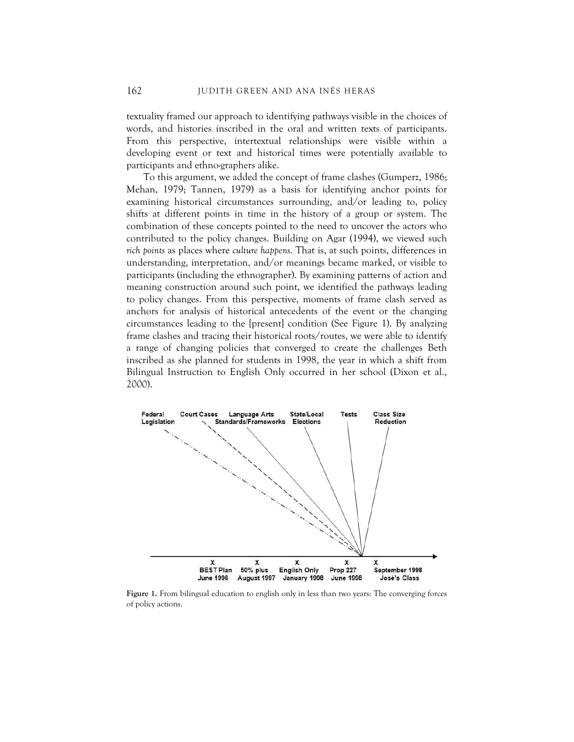textuality framed our approach to identifying pathways visible in the choices of words, and histories inscribed in the oral and written texts of participants. From this perspective, intertextual relationships were visible within a developing event or text and historical times were potentially available to participants and ethno-graphers alike.

To this argument, we added the concept of frame clashes (Gumperz, 1986; Mehan, 1979; Tannen, 1979) as a basis for identifying anchor points for examining historical circumstances surrounding, and/or leading to, policy shifts at different points in time in the history of a group or system. The combination of these concepts pointed to the need to uncover the actors who contributed to the policy changes. Building on Agar (1994), we viewed such *rich points* as places where *culture happens*. That is, at such points, differences in understanding, interpretation, and/or meanings became marked, or visible to participants (including the ethnographer). By examining patterns of action and meaning construction around such point, we identified the pathways leading to policy changes. From this perspective, moments of frame clash served as anchors for analysis of historical antecedents of the event or the changing circumstances leading to the [present] condition (See Figure 1). By analyzing frame clashes and tracing their historical roots/routes, we were able to identify a range of changing policies that converged to create the challenges Beth inscribed as she planned for students in 1998, the year in which a shift from Bilingual Instruction to English Only occurred in her school (Dixon et al., 2000).



**Figure 1.** From bilingual education to english only in less than two years: The converging forces of policy actions.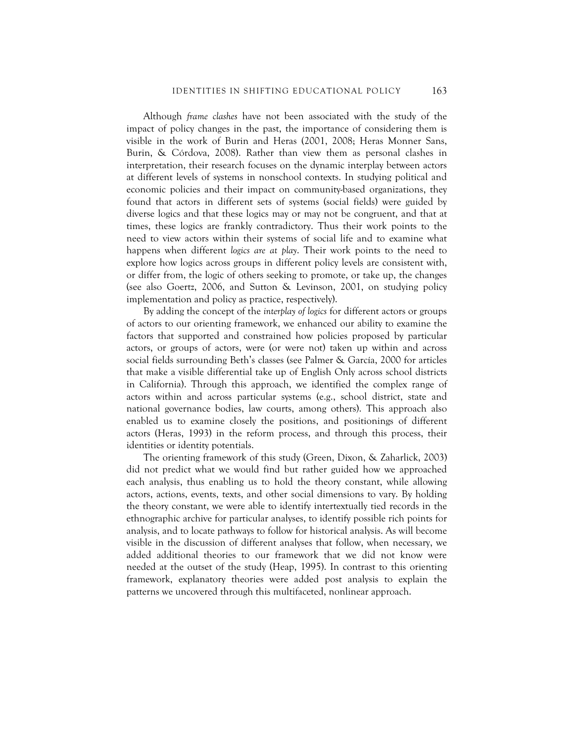Although *frame clashes* have not been associated with the study of the impact of policy changes in the past, the importance of considering them is visible in the work of Burin and Heras (2001, 2008; Heras Monner Sans, Burin, & Córdova, 2008). Rather than view them as personal clashes in interpretation, their research focuses on the dynamic interplay between actors at different levels of systems in nonschool contexts. In studying political and economic policies and their impact on community-based organizations, they found that actors in different sets of systems (social fields) were guided by diverse logics and that these logics may or may not be congruent, and that at times, these logics are frankly contradictory. Thus their work points to the need to view actors within their systems of social life and to examine what happens when different *logics are at play*. Their work points to the need to explore how logics across groups in different policy levels are consistent with, or differ from, the logic of others seeking to promote, or take up, the changes (see also Goertz, 2006, and Sutton & Levinson, 2001, on studying policy implementation and policy as practice, respectively).

By adding the concept of the *interplay of logics* for different actors or groups of actors to our orienting framework, we enhanced our ability to examine the factors that supported and constrained how policies proposed by particular actors, or groups of actors, were (or were not) taken up within and across social fields surrounding Beth's classes (see Palmer & García, 2000 for articles that make a visible differential take up of English Only across school districts in California). Through this approach, we identified the complex range of actors within and across particular systems (e.g., school district, state and national governance bodies, law courts, among others). This approach also enabled us to examine closely the positions, and positionings of different actors (Heras, 1993) in the reform process, and through this process, their identities or identity potentials.

The orienting framework of this study (Green, Dixon, & Zaharlick, 2003) did not predict what we would find but rather guided how we approached each analysis, thus enabling us to hold the theory constant, while allowing actors, actions, events, texts, and other social dimensions to vary. By holding the theory constant, we were able to identify intertextually tied records in the ethnographic archive for particular analyses, to identify possible rich points for analysis, and to locate pathways to follow for historical analysis. As will become visible in the discussion of different analyses that follow, when necessary, we added additional theories to our framework that we did not know were needed at the outset of the study (Heap, 1995). In contrast to this orienting framework, explanatory theories were added post analysis to explain the patterns we uncovered through this multifaceted, nonlinear approach.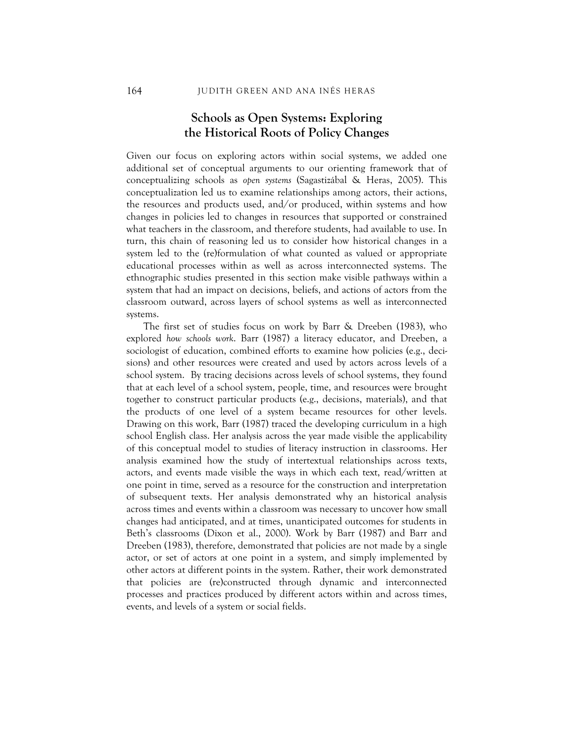## **Schools as Open Systems: Exploring the Historical Roots of Policy Changes**

Given our focus on exploring actors within social systems, we added one additional set of conceptual arguments to our orienting framework that of conceptualizing schools as *open systems* (Sagastizábal & Heras, 2005). This conceptualization led us to examine relationships among actors, their actions, the resources and products used, and/or produced, within systems and how changes in policies led to changes in resources that supported or constrained what teachers in the classroom, and therefore students, had available to use. In turn, this chain of reasoning led us to consider how historical changes in a system led to the (re)formulation of what counted as valued or appropriate educational processes within as well as across interconnected systems. The ethnographic studies presented in this section make visible pathways within a system that had an impact on decisions, beliefs, and actions of actors from the classroom outward, across layers of school systems as well as interconnected systems.

The first set of studies focus on work by Barr & Dreeben (1983), who explored *how schools work*. Barr (1987) a literacy educator, and Dreeben, a sociologist of education, combined efforts to examine how policies (e.g., decisions) and other resources were created and used by actors across levels of a school system. By tracing decisions across levels of school systems, they found that at each level of a school system, people, time, and resources were brought together to construct particular products (e.g., decisions, materials), and that the products of one level of a system became resources for other levels. Drawing on this work, Barr (1987) traced the developing curriculum in a high school English class. Her analysis across the year made visible the applicability of this conceptual model to studies of literacy instruction in classrooms. Her analysis examined how the study of intertextual relationships across texts, actors, and events made visible the ways in which each text, read/written at one point in time, served as a resource for the construction and interpretation of subsequent texts. Her analysis demonstrated why an historical analysis across times and events within a classroom was necessary to uncover how small changes had anticipated, and at times, unanticipated outcomes for students in Beth's classrooms (Dixon et al., 2000). Work by Barr (1987) and Barr and Dreeben (1983), therefore, demonstrated that policies are not made by a single actor, or set of actors at one point in a system, and simply implemented by other actors at different points in the system. Rather, their work demonstrated that policies are (re)constructed through dynamic and interconnected processes and practices produced by different actors within and across times, events, and levels of a system or social fields.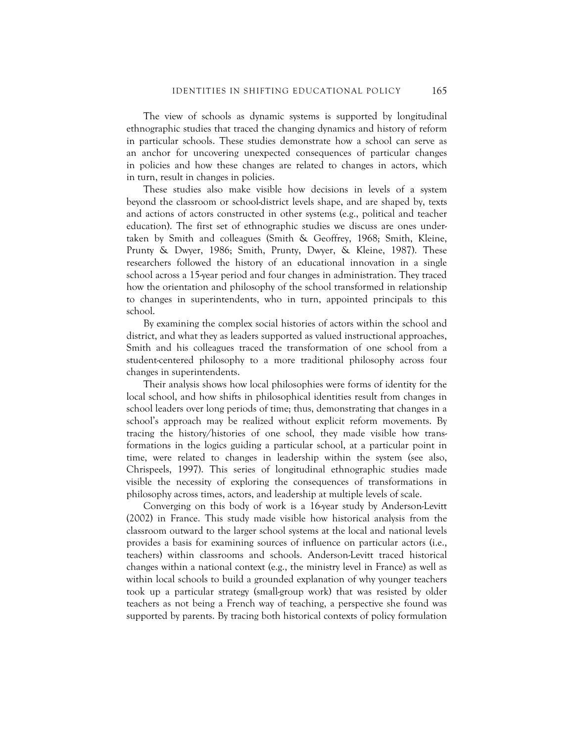The view of schools as dynamic systems is supported by longitudinal ethnographic studies that traced the changing dynamics and history of reform in particular schools. These studies demonstrate how a school can serve as an anchor for uncovering unexpected consequences of particular changes in policies and how these changes are related to changes in actors, which in turn, result in changes in policies.

These studies also make visible how decisions in levels of a system beyond the classroom or school-district levels shape, and are shaped by, texts and actions of actors constructed in other systems (e.g., political and teacher education). The first set of ethnographic studies we discuss are ones undertaken by Smith and colleagues (Smith & Geoffrey, 1968; Smith, Kleine, Prunty & Dwyer, 1986; Smith, Prunty, Dwyer, & Kleine, 1987). These researchers followed the history of an educational innovation in a single school across a 15-year period and four changes in administration. They traced how the orientation and philosophy of the school transformed in relationship to changes in superintendents, who in turn, appointed principals to this school.

By examining the complex social histories of actors within the school and district, and what they as leaders supported as valued instructional approaches, Smith and his colleagues traced the transformation of one school from a student-centered philosophy to a more traditional philosophy across four changes in superintendents.

Their analysis shows how local philosophies were forms of identity for the local school, and how shifts in philosophical identities result from changes in school leaders over long periods of time; thus, demonstrating that changes in a school's approach may be realized without explicit reform movements. By tracing the history/histories of one school, they made visible how transformations in the logics guiding a particular school, at a particular point in time, were related to changes in leadership within the system (see also, Chrispeels, 1997). This series of longitudinal ethnographic studies made visible the necessity of exploring the consequences of transformations in philosophy across times, actors, and leadership at multiple levels of scale.

Converging on this body of work is a 16-year study by Anderson-Levitt (2002) in France. This study made visible how historical analysis from the classroom outward to the larger school systems at the local and national levels provides a basis for examining sources of influence on particular actors (i.e., teachers) within classrooms and schools. Anderson-Levitt traced historical changes within a national context (e.g., the ministry level in France) as well as within local schools to build a grounded explanation of why younger teachers took up a particular strategy (small-group work) that was resisted by older teachers as not being a French way of teaching, a perspective she found was supported by parents. By tracing both historical contexts of policy formulation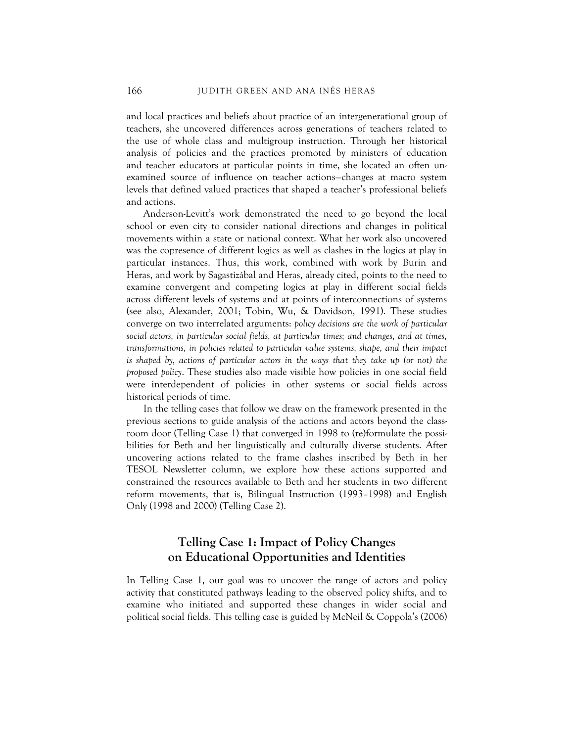and local practices and beliefs about practice of an intergenerational group of teachers, she uncovered differences across generations of teachers related to the use of whole class and multigroup instruction. Through her historical analysis of policies and the practices promoted by ministers of education and teacher educators at particular points in time, she located an often unexamined source of influence on teacher actions—changes at macro system levels that defined valued practices that shaped a teacher's professional beliefs and actions.

Anderson-Levitt's work demonstrated the need to go beyond the local school or even city to consider national directions and changes in political movements within a state or national context. What her work also uncovered was the copresence of different logics as well as clashes in the logics at play in particular instances. Thus, this work, combined with work by Burin and Heras, and work by Sagastizábal and Heras, already cited, points to the need to examine convergent and competing logics at play in different social fields across different levels of systems and at points of interconnections of systems (see also, Alexander, 2001; Tobin, Wu, & Davidson, 1991). These studies converge on two interrelated arguments: *policy decisions are the work of particular social actors, in particular social fields, at particular times; and changes, and at times, transformations, in policies related to particular value systems, shape, and their impact is shaped by, actions of particular actors in the ways that they take up (or not) the proposed policy*. These studies also made visible how policies in one social field were interdependent of policies in other systems or social fields across historical periods of time.

In the telling cases that follow we draw on the framework presented in the previous sections to guide analysis of the actions and actors beyond the classroom door (Telling Case 1) that converged in 1998 to (re)formulate the possibilities for Beth and her linguistically and culturally diverse students. After uncovering actions related to the frame clashes inscribed by Beth in her TESOL Newsletter column, we explore how these actions supported and constrained the resources available to Beth and her students in two different reform movements, that is, Bilingual Instruction (1993–1998) and English Only (1998 and 2000) (Telling Case 2).

## **Telling Case 1: Impact of Policy Changes on Educational Opportunities and Identities**

In Telling Case 1, our goal was to uncover the range of actors and policy activity that constituted pathways leading to the observed policy shifts, and to examine who initiated and supported these changes in wider social and political social fields. This telling case is guided by McNeil & Coppola's (2006)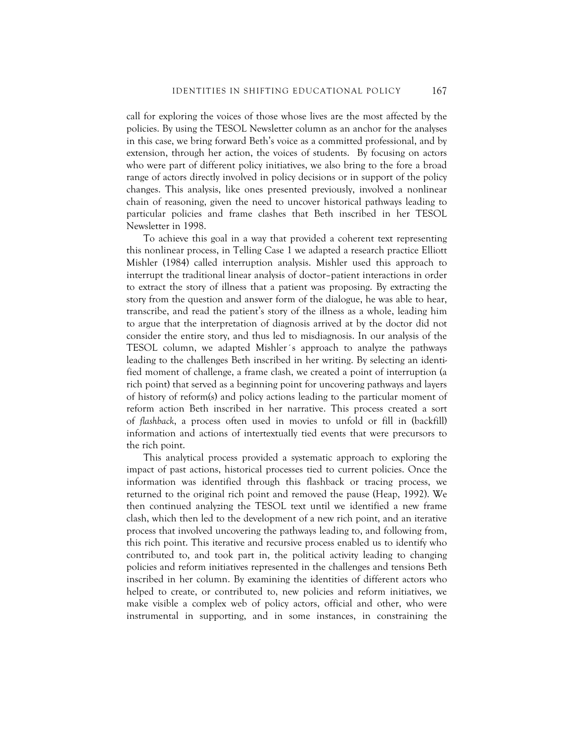call for exploring the voices of those whose lives are the most affected by the policies. By using the TESOL Newsletter column as an anchor for the analyses in this case, we bring forward Beth's voice as a committed professional, and by extension, through her action, the voices of students. By focusing on actors who were part of different policy initiatives, we also bring to the fore a broad range of actors directly involved in policy decisions or in support of the policy changes. This analysis, like ones presented previously, involved a nonlinear chain of reasoning, given the need to uncover historical pathways leading to particular policies and frame clashes that Beth inscribed in her TESOL Newsletter in 1998.

To achieve this goal in a way that provided a coherent text representing this nonlinear process, in Telling Case 1 we adapted a research practice Elliott Mishler (1984) called interruption analysis. Mishler used this approach to interrupt the traditional linear analysis of doctor–patient interactions in order to extract the story of illness that a patient was proposing. By extracting the story from the question and answer form of the dialogue, he was able to hear, transcribe, and read the patient's story of the illness as a whole, leading him to argue that the interpretation of diagnosis arrived at by the doctor did not consider the entire story, and thus led to misdiagnosis. In our analysis of the TESOL column, we adapted Mishler´s approach to analyze the pathways leading to the challenges Beth inscribed in her writing. By selecting an identified moment of challenge, a frame clash, we created a point of interruption (a rich point) that served as a beginning point for uncovering pathways and layers of history of reform(s) and policy actions leading to the particular moment of reform action Beth inscribed in her narrative. This process created a sort of *flashback*, a process often used in movies to unfold or fill in (backfill) information and actions of intertextually tied events that were precursors to the rich point.

This analytical process provided a systematic approach to exploring the impact of past actions, historical processes tied to current policies. Once the information was identified through this flashback or tracing process, we returned to the original rich point and removed the pause (Heap, 1992). We then continued analyzing the TESOL text until we identified a new frame clash, which then led to the development of a new rich point, and an iterative process that involved uncovering the pathways leading to, and following from, this rich point. This iterative and recursive process enabled us to identify who contributed to, and took part in, the political activity leading to changing policies and reform initiatives represented in the challenges and tensions Beth inscribed in her column. By examining the identities of different actors who helped to create, or contributed to, new policies and reform initiatives, we make visible a complex web of policy actors, official and other, who were instrumental in supporting, and in some instances, in constraining the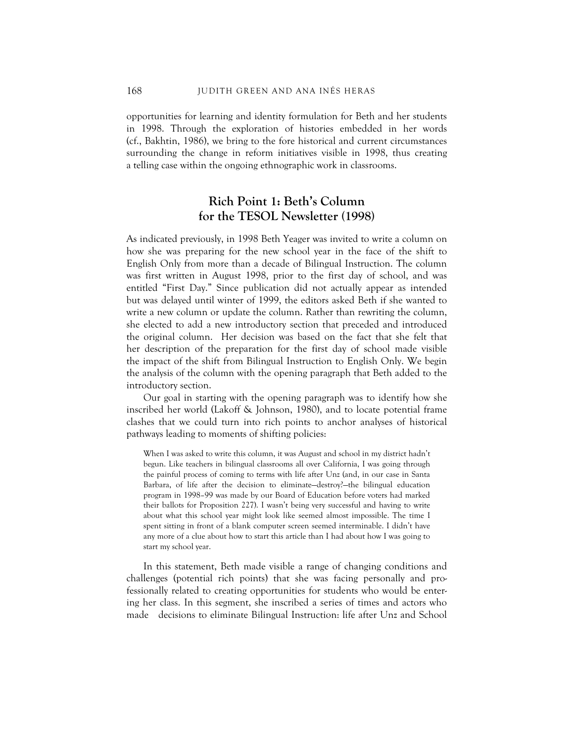opportunities for learning and identity formulation for Beth and her students in 1998. Through the exploration of histories embedded in her words (cf., Bakhtin, 1986), we bring to the fore historical and current circumstances surrounding the change in reform initiatives visible in 1998, thus creating a telling case within the ongoing ethnographic work in classrooms.

# **Rich Point 1: Beth's Column for the TESOL Newsletter (1998)**

As indicated previously, in 1998 Beth Yeager was invited to write a column on how she was preparing for the new school year in the face of the shift to English Only from more than a decade of Bilingual Instruction. The column was first written in August 1998, prior to the first day of school, and was entitled "First Day." Since publication did not actually appear as intended but was delayed until winter of 1999, the editors asked Beth if she wanted to write a new column or update the column. Rather than rewriting the column, she elected to add a new introductory section that preceded and introduced the original column. Her decision was based on the fact that she felt that her description of the preparation for the first day of school made visible the impact of the shift from Bilingual Instruction to English Only. We begin the analysis of the column with the opening paragraph that Beth added to the introductory section.

Our goal in starting with the opening paragraph was to identify how she inscribed her world (Lakoff & Johnson, 1980), and to locate potential frame clashes that we could turn into rich points to anchor analyses of historical pathways leading to moments of shifting policies:

When I was asked to write this column, it was August and school in my district hadn't begun. Like teachers in bilingual classrooms all over California, I was going through the painful process of coming to terms with life after Unz (and, in our case in Santa Barbara, of life after the decision to eliminate—destroy?—the bilingual education program in 1998–99 was made by our Board of Education before voters had marked their ballots for Proposition 227). I wasn't being very successful and having to write about what this school year might look like seemed almost impossible. The time I spent sitting in front of a blank computer screen seemed interminable. I didn't have any more of a clue about how to start this article than I had about how I was going to start my school year.

In this statement, Beth made visible a range of changing conditions and challenges (potential rich points) that she was facing personally and professionally related to creating opportunities for students who would be entering her class. In this segment, she inscribed a series of times and actors who made decisions to eliminate Bilingual Instruction: life after Unz and School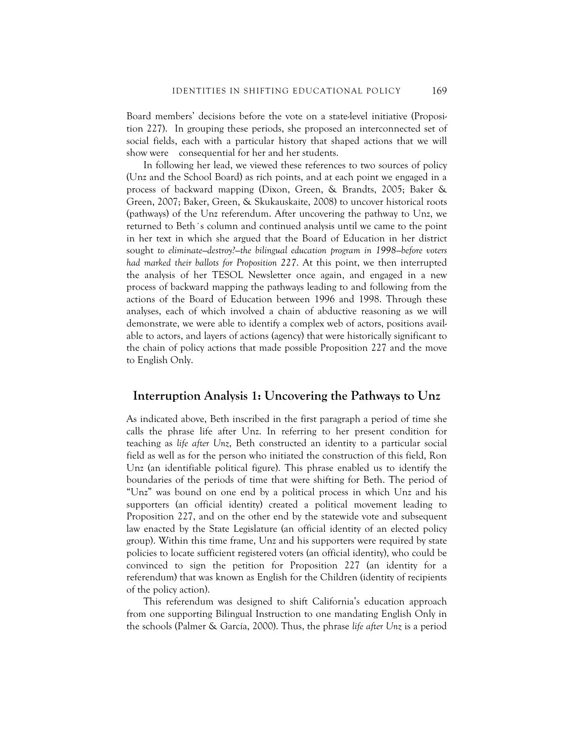Board members' decisions before the vote on a state-level initiative (Proposition 227). In grouping these periods, she proposed an interconnected set of social fields, each with a particular history that shaped actions that we will show were consequential for her and her students.

In following her lead, we viewed these references to two sources of policy (Unz and the School Board) as rich points, and at each point we engaged in a process of backward mapping (Dixon, Green, & Brandts, 2005; Baker & Green, 2007; Baker, Green, & Skukauskaite, 2008) to uncover historical roots (pathways) of the Unz referendum. After uncovering the pathway to Unz, we returned to Beth´s column and continued analysis until we came to the point in her text in which she argued that the Board of Education in her district sought *to eliminate—destroy?—the bilingual education program in 1998—before voters had marked their ballots for Proposition 227*. At this point, we then interrupted the analysis of her TESOL Newsletter once again, and engaged in a new process of backward mapping the pathways leading to and following from the actions of the Board of Education between 1996 and 1998. Through these analyses, each of which involved a chain of abductive reasoning as we will demonstrate, we were able to identify a complex web of actors, positions available to actors, and layers of actions (agency) that were historically significant to the chain of policy actions that made possible Proposition 227 and the move to English Only.

#### **Interruption Analysis 1: Uncovering the Pathways to Unz**

As indicated above, Beth inscribed in the first paragraph a period of time she calls the phrase life after Unz. In referring to her present condition for teaching as *life after Unz*, Beth constructed an identity to a particular social field as well as for the person who initiated the construction of this field, Ron Unz (an identifiable political figure). This phrase enabled us to identify the boundaries of the periods of time that were shifting for Beth. The period of "Unz" was bound on one end by a political process in which Unz and his supporters (an official identity) created a political movement leading to Proposition 227, and on the other end by the statewide vote and subsequent law enacted by the State Legislature (an official identity of an elected policy group). Within this time frame, Unz and his supporters were required by state policies to locate sufficient registered voters (an official identity), who could be convinced to sign the petition for Proposition 227 (an identity for a referendum) that was known as English for the Children (identity of recipients of the policy action).

This referendum was designed to shift California's education approach from one supporting Bilingual Instruction to one mandating English Only in the schools (Palmer & García, 2000). Thus, the phrase *life after Unz* is a period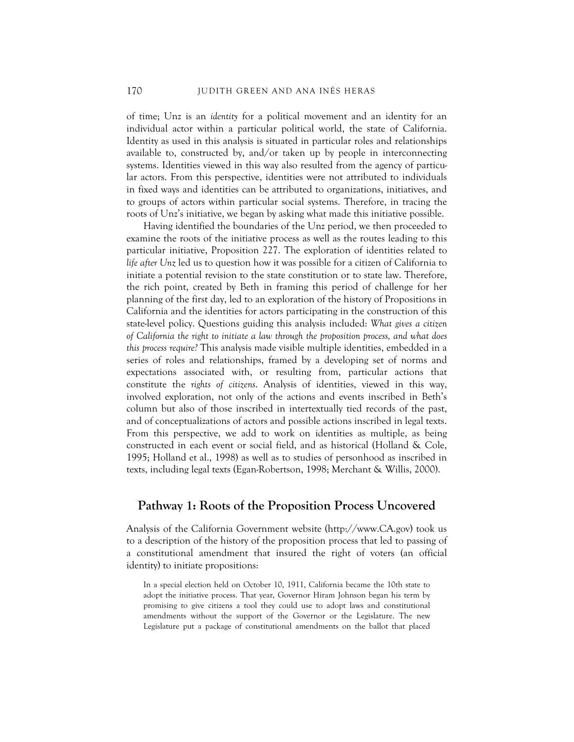of time; Unz is an *identity* for a political movement and an identity for an individual actor within a particular political world, the state of California. Identity as used in this analysis is situated in particular roles and relationships available to, constructed by, and/or taken up by people in interconnecting systems. Identities viewed in this way also resulted from the agency of particular actors. From this perspective, identities were not attributed to individuals in fixed ways and identities can be attributed to organizations, initiatives, and to groups of actors within particular social systems. Therefore, in tracing the roots of Unz's initiative, we began by asking what made this initiative possible.

Having identified the boundaries of the Unz period, we then proceeded to examine the roots of the initiative process as well as the routes leading to this particular initiative, Proposition 227. The exploration of identities related to *life after Unz* led us to question how it was possible for a citizen of California to initiate a potential revision to the state constitution or to state law. Therefore, the rich point, created by Beth in framing this period of challenge for her planning of the first day, led to an exploration of the history of Propositions in California and the identities for actors participating in the construction of this state-level policy. Questions guiding this analysis included: *What gives a citizen of California the right to initiate a law through the proposition process, and what does this process require?* This analysis made visible multiple identities, embedded in a series of roles and relationships, framed by a developing set of norms and expectations associated with, or resulting from, particular actions that constitute the *rights of citizens*. Analysis of identities, viewed in this way, involved exploration, not only of the actions and events inscribed in Beth's column but also of those inscribed in intertextually tied records of the past, and of conceptualizations of actors and possible actions inscribed in legal texts. From this perspective, we add to work on identities as multiple, as being constructed in each event or social field, and as historical (Holland & Cole, 1995; Holland et al., 1998) as well as to studies of personhood as inscribed in texts, including legal texts (Egan-Robertson, 1998; Merchant & Willis, 2000).

#### **Pathway 1: Roots of the Proposition Process Uncovered**

Analysis of the California Government website (http://www.CA.gov) took us to a description of the history of the proposition process that led to passing of a constitutional amendment that insured the right of voters (an official identity) to initiate propositions:

In a special election held on October 10, 1911, California became the 10th state to adopt the initiative process. That year, Governor Hiram Johnson began his term by promising to give citizens a tool they could use to adopt laws and constitutional amendments without the support of the Governor or the Legislature. The new Legislature put a package of constitutional amendments on the ballot that placed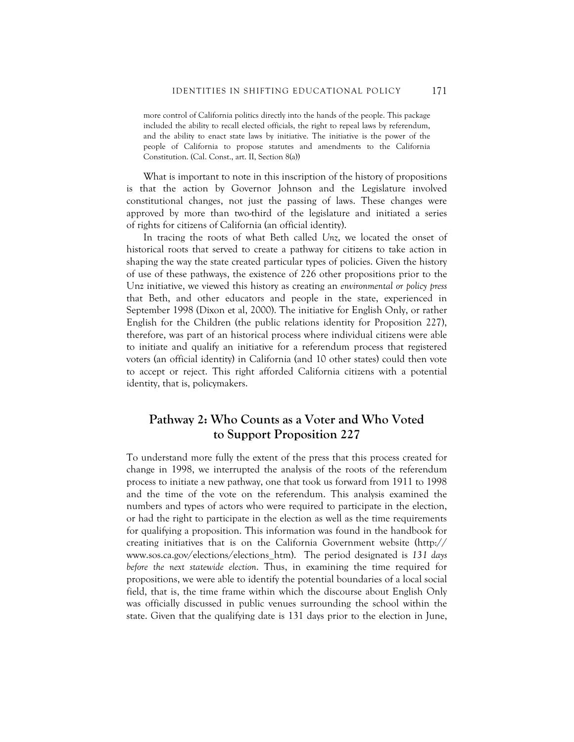more control of California politics directly into the hands of the people. This package included the ability to recall elected officials, the right to repeal laws by referendum, and the ability to enact state laws by initiative. The initiative is the power of the people of California to propose statutes and amendments to the California Constitution. (Cal. Const., art. II, Section 8(a))

What is important to note in this inscription of the history of propositions is that the action by Governor Johnson and the Legislature involved constitutional changes, not just the passing of laws. These changes were approved by more than two-third of the legislature and initiated a series of rights for citizens of California (an official identity).

In tracing the roots of what Beth called *Unz*, we located the onset of historical roots that served to create a pathway for citizens to take action in shaping the way the state created particular types of policies. Given the history of use of these pathways, the existence of 226 other propositions prior to the Unz initiative, we viewed this history as creating an *environmental or policy press*  that Beth, and other educators and people in the state, experienced in September 1998 (Dixon et al, 2000). The initiative for English Only, or rather English for the Children (the public relations identity for Proposition 227), therefore, was part of an historical process where individual citizens were able to initiate and qualify an initiative for a referendum process that registered voters (an official identity) in California (and 10 other states) could then vote to accept or reject. This right afforded California citizens with a potential identity, that is, policymakers.

# **Pathway 2: Who Counts as a Voter and Who Voted to Support Proposition 227**

To understand more fully the extent of the press that this process created for change in 1998, we interrupted the analysis of the roots of the referendum process to initiate a new pathway, one that took us forward from 1911 to 1998 and the time of the vote on the referendum. This analysis examined the numbers and types of actors who were required to participate in the election, or had the right to participate in the election as well as the time requirements for qualifying a proposition. This information was found in the handbook for creating initiatives that is on the California Government website (http:// www.sos.ca.gov/elections/elections\_htm). The period designated is *131 days before the next statewide election*. Thus, in examining the time required for propositions, we were able to identify the potential boundaries of a local social field, that is, the time frame within which the discourse about English Only was officially discussed in public venues surrounding the school within the state. Given that the qualifying date is 131 days prior to the election in June,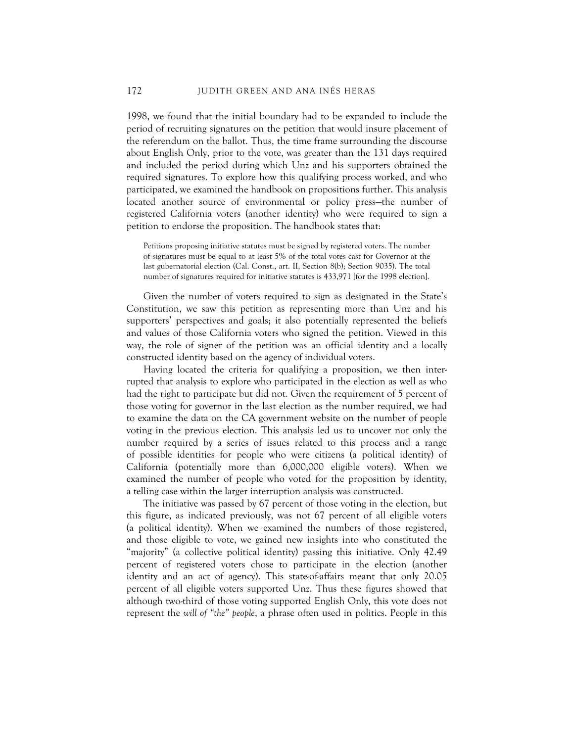1998, we found that the initial boundary had to be expanded to include the period of recruiting signatures on the petition that would insure placement of the referendum on the ballot. Thus, the time frame surrounding the discourse about English Only, prior to the vote, was greater than the 131 days required and included the period during which Unz and his supporters obtained the required signatures. To explore how this qualifying process worked, and who participated, we examined the handbook on propositions further. This analysis located another source of environmental or policy press—the number of registered California voters (another identity) who were required to sign a petition to endorse the proposition. The handbook states that:

Petitions proposing initiative statutes must be signed by registered voters. The number of signatures must be equal to at least 5% of the total votes cast for Governor at the last gubernatorial election (Cal. Const., art. II, Section 8(b); Section 9035). The total number of signatures required for initiative statutes is 433,971 [for the 1998 election].

Given the number of voters required to sign as designated in the State's Constitution, we saw this petition as representing more than Unz and his supporters' perspectives and goals; it also potentially represented the beliefs and values of those California voters who signed the petition. Viewed in this way, the role of signer of the petition was an official identity and a locally constructed identity based on the agency of individual voters.

Having located the criteria for qualifying a proposition, we then interrupted that analysis to explore who participated in the election as well as who had the right to participate but did not. Given the requirement of 5 percent of those voting for governor in the last election as the number required, we had to examine the data on the CA government website on the number of people voting in the previous election. This analysis led us to uncover not only the number required by a series of issues related to this process and a range of possible identities for people who were citizens (a political identity) of California (potentially more than 6,000,000 eligible voters). When we examined the number of people who voted for the proposition by identity, a telling case within the larger interruption analysis was constructed.

The initiative was passed by 67 percent of those voting in the election, but this figure, as indicated previously, was not 67 percent of all eligible voters (a political identity). When we examined the numbers of those registered, and those eligible to vote, we gained new insights into who constituted the "majority" (a collective political identity) passing this initiative. Only 42.49 percent of registered voters chose to participate in the election (another identity and an act of agency). This state-of-affairs meant that only 20.05 percent of all eligible voters supported Unz. Thus these figures showed that although two-third of those voting supported English Only, this vote does not represent the *will of "the" people*, a phrase often used in politics. People in this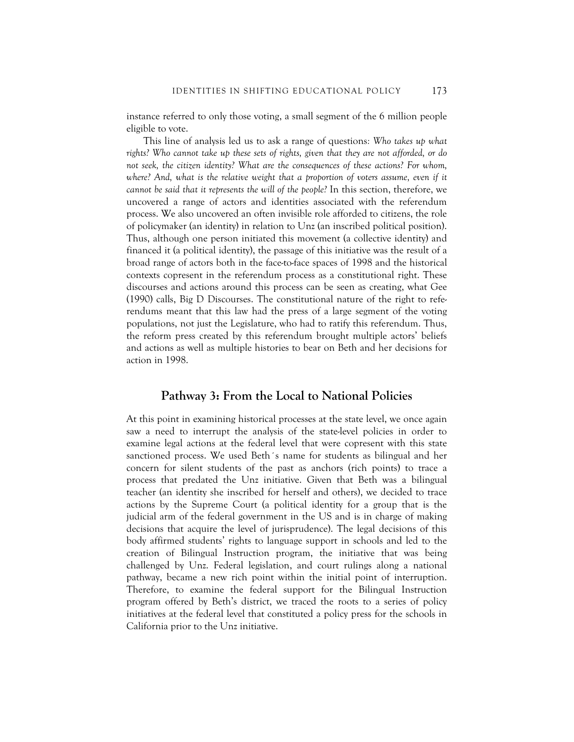instance referred to only those voting, a small segment of the 6 million people eligible to vote.

This line of analysis led us to ask a range of questions*: Who takes up what rights? Who cannot take up these sets of rights, given that they are not afforded, or do not seek, the citizen identity? What are the consequences of these actions? For whom,*  where? And, what is the relative weight that a proportion of voters assume, even if it *cannot be said that it represents the will of the people?* In this section, therefore, we uncovered a range of actors and identities associated with the referendum process. We also uncovered an often invisible role afforded to citizens, the role of policymaker (an identity) in relation to Unz (an inscribed political position). Thus, although one person initiated this movement (a collective identity) and financed it (a political identity), the passage of this initiative was the result of a broad range of actors both in the face-to-face spaces of 1998 and the historical contexts copresent in the referendum process as a constitutional right. These discourses and actions around this process can be seen as creating, what Gee (1990) calls, Big D Discourses. The constitutional nature of the right to referendums meant that this law had the press of a large segment of the voting populations, not just the Legislature, who had to ratify this referendum. Thus, the reform press created by this referendum brought multiple actors' beliefs and actions as well as multiple histories to bear on Beth and her decisions for action in 1998.

#### **Pathway 3: From the Local to National Policies**

At this point in examining historical processes at the state level, we once again saw a need to interrupt the analysis of the state-level policies in order to examine legal actions at the federal level that were copresent with this state sanctioned process. We used Beth´s name for students as bilingual and her concern for silent students of the past as anchors (rich points) to trace a process that predated the Unz initiative. Given that Beth was a bilingual teacher (an identity she inscribed for herself and others), we decided to trace actions by the Supreme Court (a political identity for a group that is the judicial arm of the federal government in the US and is in charge of making decisions that acquire the level of jurisprudence). The legal decisions of this body affirmed students' rights to language support in schools and led to the creation of Bilingual Instruction program, the initiative that was being challenged by Unz. Federal legislation, and court rulings along a national pathway, became a new rich point within the initial point of interruption. Therefore, to examine the federal support for the Bilingual Instruction program offered by Beth's district, we traced the roots to a series of policy initiatives at the federal level that constituted a policy press for the schools in California prior to the Unz initiative.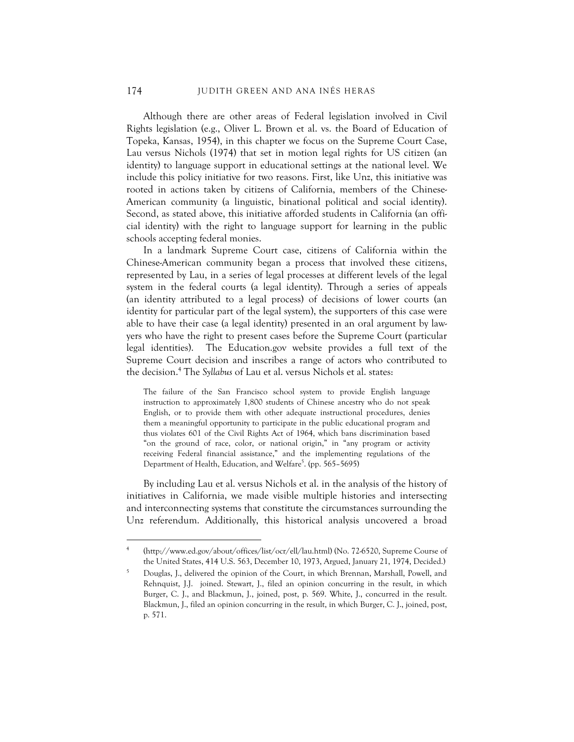Although there are other areas of Federal legislation involved in Civil Rights legislation (e.g., Oliver L. Brown et al. vs. the Board of Education of Topeka, Kansas, 1954), in this chapter we focus on the Supreme Court Case, Lau versus Nichols (1974) that set in motion legal rights for US citizen (an identity) to language support in educational settings at the national level. We include this policy initiative for two reasons. First, like Unz, this initiative was rooted in actions taken by citizens of California, members of the Chinese-American community (a linguistic, binational political and social identity). Second, as stated above, this initiative afforded students in California (an official identity) with the right to language support for learning in the public schools accepting federal monies.

In a landmark Supreme Court case, citizens of California within the Chinese-American community began a process that involved these citizens, represented by Lau, in a series of legal processes at different levels of the legal system in the federal courts (a legal identity). Through a series of appeals (an identity attributed to a legal process) of decisions of lower courts (an identity for particular part of the legal system), the supporters of this case were able to have their case (a legal identity) presented in an oral argument by lawyers who have the right to present cases before the Supreme Court (particular legal identities). The Education.gov website provides a full text of the Supreme Court decision and inscribes a range of actors who contributed to the decision.4 The *Syllabus* of Lau et al. versus Nichols et al. states:

The failure of the San Francisco school system to provide English language instruction to approximately 1,800 students of Chinese ancestry who do not speak English, or to provide them with other adequate instructional procedures, denies them a meaningful opportunity to participate in the public educational program and thus violates 601 of the Civil Rights Act of 1964, which bans discrimination based "on the ground of race, color, or national origin," in "any program or activity receiving Federal financial assistance," and the implementing regulations of the Department of Health, Education, and Welfare<sup>5</sup>. (pp. 565–5695)

By including Lau et al. versus Nichols et al. in the analysis of the history of initiatives in California, we made visible multiple histories and intersecting and interconnecting systems that constitute the circumstances surrounding the Unz referendum. Additionally, this historical analysis uncovered a broad

<u>.</u>

<sup>4</sup> (http://www.ed.gov/about/offices/list/ocr/ell/lau.html) (No. 72-6520, Supreme Course of the United States, 414 U.S. 563, December 10, 1973, Argued, January 21, 1974, Decided.)

<sup>5</sup> Douglas, J., delivered the opinion of the Court, in which Brennan, Marshall, Powell, and Rehnquist, J.J. joined. Stewart, J., filed an opinion concurring in the result, in which Burger, C. J., and Blackmun, J., joined, post, p. 569. White, J., concurred in the result. Blackmun, J., filed an opinion concurring in the result, in which Burger, C. J., joined, post, p. 571.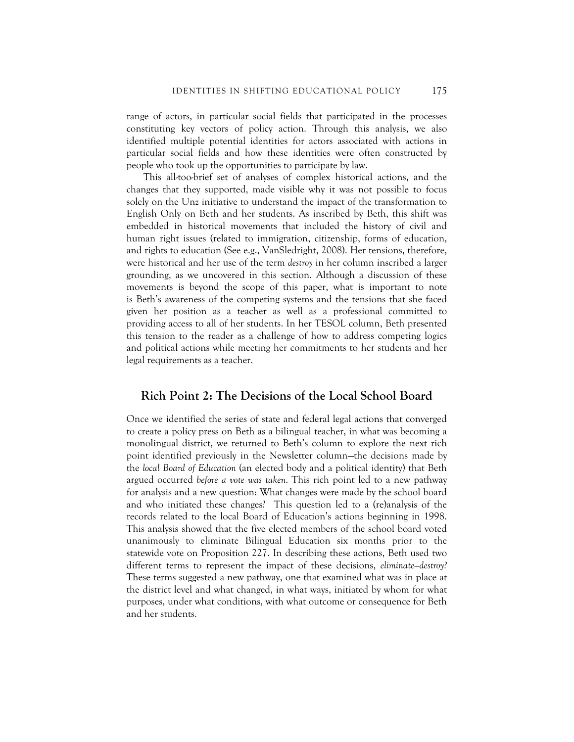range of actors, in particular social fields that participated in the processes constituting key vectors of policy action. Through this analysis, we also identified multiple potential identities for actors associated with actions in particular social fields and how these identities were often constructed by people who took up the opportunities to participate by law.

This all-too-brief set of analyses of complex historical actions, and the changes that they supported, made visible why it was not possible to focus solely on the Unz initiative to understand the impact of the transformation to English Only on Beth and her students. As inscribed by Beth, this shift was embedded in historical movements that included the history of civil and human right issues (related to immigration, citizenship, forms of education, and rights to education (See e.g., VanSledright, 2008). Her tensions, therefore, were historical and her use of the term *destroy* in her column inscribed a larger grounding, as we uncovered in this section. Although a discussion of these movements is beyond the scope of this paper, what is important to note is Beth's awareness of the competing systems and the tensions that she faced given her position as a teacher as well as a professional committed to providing access to all of her students. In her TESOL column, Beth presented this tension to the reader as a challenge of how to address competing logics and political actions while meeting her commitments to her students and her legal requirements as a teacher.

#### **Rich Point 2: The Decisions of the Local School Board**

Once we identified the series of state and federal legal actions that converged to create a policy press on Beth as a bilingual teacher, in what was becoming a monolingual district, we returned to Beth's column to explore the next rich point identified previously in the Newsletter column—the decisions made by the *local Board of Education* (an elected body and a political identity) that Beth argued occurred *before a vote was taken*. This rich point led to a new pathway for analysis and a new question: What changes were made by the school board and who initiated these changes? This question led to a (re)analysis of the records related to the local Board of Education's actions beginning in 1998. This analysis showed that the five elected members of the school board voted unanimously to eliminate Bilingual Education six months prior to the statewide vote on Proposition 227. In describing these actions, Beth used two different terms to represent the impact of these decisions, *eliminate—destroy?* These terms suggested a new pathway, one that examined what was in place at the district level and what changed, in what ways, initiated by whom for what purposes, under what conditions, with what outcome or consequence for Beth and her students.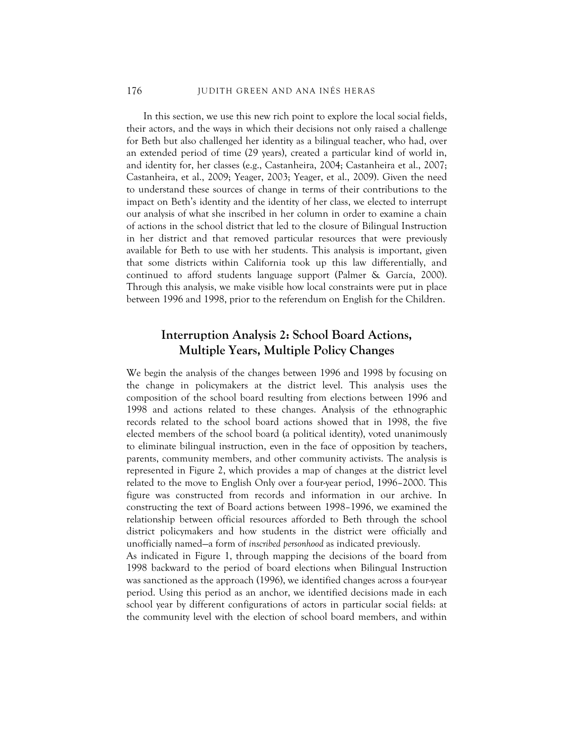#### 176 JUDITH GREEN AND ANA INÉS HERAS

In this section, we use this new rich point to explore the local social fields, their actors, and the ways in which their decisions not only raised a challenge for Beth but also challenged her identity as a bilingual teacher, who had, over an extended period of time (29 years), created a particular kind of world in, and identity for, her classes (e.g., Castanheira, 2004; Castanheira et al., 2007; Castanheira, et al., 2009; Yeager, 2003; Yeager, et al., 2009). Given the need to understand these sources of change in terms of their contributions to the impact on Beth's identity and the identity of her class, we elected to interrupt our analysis of what she inscribed in her column in order to examine a chain of actions in the school district that led to the closure of Bilingual Instruction in her district and that removed particular resources that were previously available for Beth to use with her students. This analysis is important, given that some districts within California took up this law differentially, and continued to afford students language support (Palmer & García, 2000). Through this analysis, we make visible how local constraints were put in place between 1996 and 1998, prior to the referendum on English for the Children.

# **Interruption Analysis 2: School Board Actions, Multiple Years, Multiple Policy Changes**

We begin the analysis of the changes between 1996 and 1998 by focusing on the change in policymakers at the district level. This analysis uses the composition of the school board resulting from elections between 1996 and 1998 and actions related to these changes. Analysis of the ethnographic records related to the school board actions showed that in 1998, the five elected members of the school board (a political identity), voted unanimously to eliminate bilingual instruction, even in the face of opposition by teachers, parents, community members, and other community activists. The analysis is represented in Figure 2, which provides a map of changes at the district level related to the move to English Only over a four-year period, 1996–2000. This figure was constructed from records and information in our archive. In constructing the text of Board actions between 1998–1996, we examined the relationship between official resources afforded to Beth through the school district policymakers and how students in the district were officially and unofficially named—a form of *inscribed personhood* as indicated previously.

As indicated in Figure 1, through mapping the decisions of the board from 1998 backward to the period of board elections when Bilingual Instruction was sanctioned as the approach (1996), we identified changes across a four-year period. Using this period as an anchor, we identified decisions made in each school year by different configurations of actors in particular social fields: at the community level with the election of school board members, and within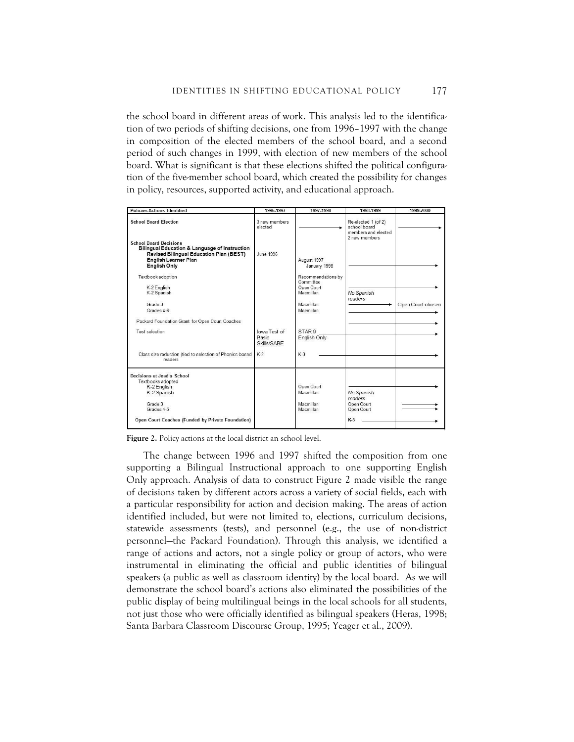the school board in different areas of work. This analysis led to the identification of two periods of shifting decisions, one from 1996–1997 with the change in composition of the elected members of the school board, and a second period of such changes in 1999, with election of new members of the school board. What is significant is that these elections shifted the political configuration of the five-member school board, which created the possibility for changes in policy, resources, supported activity, and educational approach.

| <b>Policies Actions Identified</b>                                                                                                                                                  | 1996-1997                            | 1997-1998                                                  | 1998-1999                                                                   | 1999-2000         |
|-------------------------------------------------------------------------------------------------------------------------------------------------------------------------------------|--------------------------------------|------------------------------------------------------------|-----------------------------------------------------------------------------|-------------------|
| <b>School Board Election</b>                                                                                                                                                        | 3 new members<br>elected             |                                                            | Re-elected 1 (of 2)<br>school board<br>members and elected<br>2 new members |                   |
| <b>School Board Decisions</b><br><b>Bilingual Education &amp; Language of Instruction</b><br>Revised Bilingual Education Plan (BEST)<br>English Learner Plan<br><b>English Only</b> | <b>June 1996</b>                     | August 1997<br>January 1998                                |                                                                             |                   |
| Textbook adoption<br>K-2 English<br>K-2 Spanish                                                                                                                                     |                                      | Recommendations by<br>Committee<br>Open Court<br>Macmillan | No Spanish                                                                  |                   |
| Grade 3<br>Grades 4-6                                                                                                                                                               |                                      | Macmillan<br>Macmillan                                     | readers                                                                     | Open Court chosen |
| Packard Foundation Grant for Open Court Coaches                                                                                                                                     |                                      |                                                            |                                                                             |                   |
| Test selection                                                                                                                                                                      | lowa Test of<br>Basic<br>Skills/SABF | STAR <sub>9</sub><br>English Only                          |                                                                             |                   |
| Class size reduction (tied to selection of Phonics-based<br>readers                                                                                                                 | $K-2$                                | $K-3$                                                      |                                                                             |                   |
| Decisions at José's School<br>Textbooks adopted<br>K-2 English<br>K-2 Spanish                                                                                                       |                                      | Open Court<br>Macmillan                                    | No Spanish<br>readers                                                       |                   |
| Grade 3<br>Grades 4-5                                                                                                                                                               |                                      | Macmillan<br>Macmillan                                     | Open Court<br>Open Court                                                    |                   |
| Open Court Coaches (Funded by Private Foundation)                                                                                                                                   |                                      |                                                            | $K-5$                                                                       |                   |

**Figure 2.** Policy actions at the local district an school level.

The change between 1996 and 1997 shifted the composition from one supporting a Bilingual Instructional approach to one supporting English Only approach. Analysis of data to construct Figure 2 made visible the range of decisions taken by different actors across a variety of social fields, each with a particular responsibility for action and decision making. The areas of action identified included, but were not limited to, elections, curriculum decisions, statewide assessments (tests), and personnel (e.g., the use of non-district personnel—the Packard Foundation). Through this analysis, we identified a range of actions and actors, not a single policy or group of actors, who were instrumental in eliminating the official and public identities of bilingual speakers (a public as well as classroom identity) by the local board. As we will demonstrate the school board's actions also eliminated the possibilities of the public display of being multilingual beings in the local schools for all students, not just those who were officially identified as bilingual speakers (Heras, 1998; Santa Barbara Classroom Discourse Group, 1995; Yeager et al., 2009).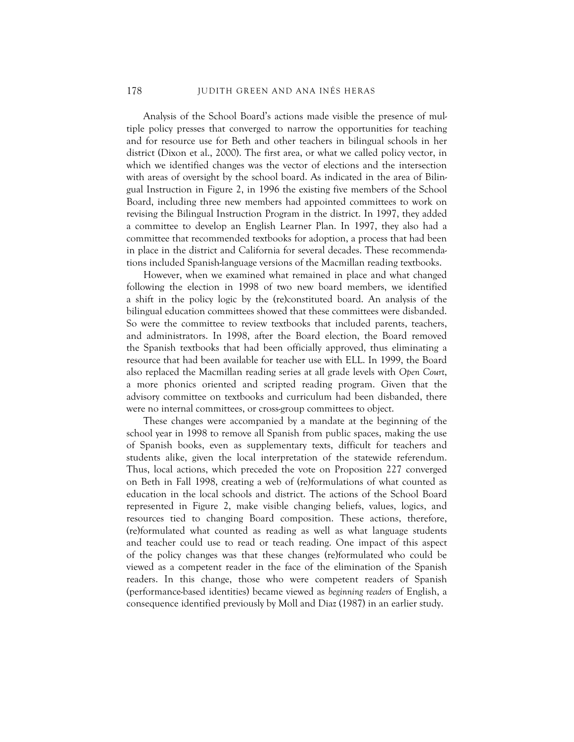Analysis of the School Board's actions made visible the presence of multiple policy presses that converged to narrow the opportunities for teaching and for resource use for Beth and other teachers in bilingual schools in her district (Dixon et al., 2000). The first area, or what we called policy vector, in which we identified changes was the vector of elections and the intersection with areas of oversight by the school board. As indicated in the area of Bilingual Instruction in Figure 2, in 1996 the existing five members of the School Board, including three new members had appointed committees to work on revising the Bilingual Instruction Program in the district. In 1997, they added a committee to develop an English Learner Plan. In 1997, they also had a committee that recommended textbooks for adoption, a process that had been in place in the district and California for several decades. These recommendations included Spanish-language versions of the Macmillan reading textbooks.

However, when we examined what remained in place and what changed following the election in 1998 of two new board members, we identified a shift in the policy logic by the (re)constituted board. An analysis of the bilingual education committees showed that these committees were disbanded. So were the committee to review textbooks that included parents, teachers, and administrators. In 1998, after the Board election, the Board removed the Spanish textbooks that had been officially approved, thus eliminating a resource that had been available for teacher use with ELL. In 1999, the Board also replaced the Macmillan reading series at all grade levels with *Open Court*, a more phonics oriented and scripted reading program. Given that the advisory committee on textbooks and curriculum had been disbanded, there were no internal committees, or cross-group committees to object.

These changes were accompanied by a mandate at the beginning of the school year in 1998 to remove all Spanish from public spaces, making the use of Spanish books, even as supplementary texts, difficult for teachers and students alike, given the local interpretation of the statewide referendum. Thus, local actions, which preceded the vote on Proposition 227 converged on Beth in Fall 1998, creating a web of (re)formulations of what counted as education in the local schools and district. The actions of the School Board represented in Figure 2, make visible changing beliefs, values, logics, and resources tied to changing Board composition. These actions, therefore, (re)formulated what counted as reading as well as what language students and teacher could use to read or teach reading. One impact of this aspect of the policy changes was that these changes (re)formulated who could be viewed as a competent reader in the face of the elimination of the Spanish readers. In this change, those who were competent readers of Spanish (performance-based identities) became viewed as *beginning readers* of English, a consequence identified previously by Moll and Diaz (1987) in an earlier study.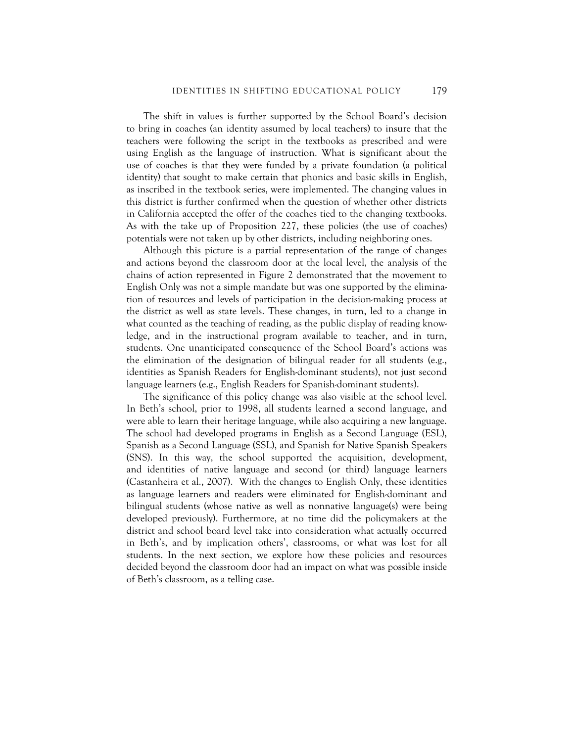The shift in values is further supported by the School Board's decision to bring in coaches (an identity assumed by local teachers) to insure that the teachers were following the script in the textbooks as prescribed and were using English as the language of instruction. What is significant about the use of coaches is that they were funded by a private foundation (a political identity) that sought to make certain that phonics and basic skills in English, as inscribed in the textbook series, were implemented. The changing values in this district is further confirmed when the question of whether other districts in California accepted the offer of the coaches tied to the changing textbooks. As with the take up of Proposition 227, these policies (the use of coaches) potentials were not taken up by other districts, including neighboring ones.

Although this picture is a partial representation of the range of changes and actions beyond the classroom door at the local level, the analysis of the chains of action represented in Figure 2 demonstrated that the movement to English Only was not a simple mandate but was one supported by the elimination of resources and levels of participation in the decision-making process at the district as well as state levels. These changes, in turn, led to a change in what counted as the teaching of reading, as the public display of reading knowledge, and in the instructional program available to teacher, and in turn, students. One unanticipated consequence of the School Board's actions was the elimination of the designation of bilingual reader for all students (e.g., identities as Spanish Readers for English-dominant students), not just second language learners (e.g., English Readers for Spanish-dominant students).

The significance of this policy change was also visible at the school level. In Beth's school, prior to 1998, all students learned a second language, and were able to learn their heritage language, while also acquiring a new language. The school had developed programs in English as a Second Language (ESL), Spanish as a Second Language (SSL), and Spanish for Native Spanish Speakers (SNS). In this way, the school supported the acquisition, development, and identities of native language and second (or third) language learners (Castanheira et al., 2007). With the changes to English Only, these identities as language learners and readers were eliminated for English-dominant and bilingual students (whose native as well as nonnative language(s) were being developed previously). Furthermore, at no time did the policymakers at the district and school board level take into consideration what actually occurred in Beth's, and by implication others', classrooms, or what was lost for all students. In the next section, we explore how these policies and resources decided beyond the classroom door had an impact on what was possible inside of Beth's classroom, as a telling case.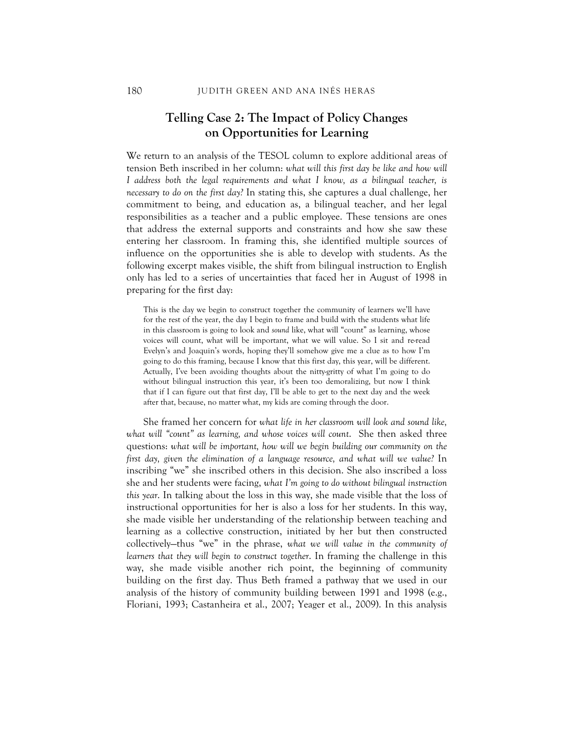## **Telling Case 2: The Impact of Policy Changes on Opportunities for Learning**

We return to an analysis of the TESOL column to explore additional areas of tension Beth inscribed in her column: *what will this first day be like and how will I address both the legal requirements and what I know, as a bilingual teacher, is necessary to do on the first day?* In stating this, she captures a dual challenge, her commitment to being, and education as, a bilingual teacher, and her legal responsibilities as a teacher and a public employee. These tensions are ones that address the external supports and constraints and how she saw these entering her classroom. In framing this, she identified multiple sources of influence on the opportunities she is able to develop with students. As the following excerpt makes visible, the shift from bilingual instruction to English only has led to a series of uncertainties that faced her in August of 1998 in preparing for the first day:

This is the day we begin to construct together the community of learners we'll have for the rest of the year, the day I begin to frame and build with the students what life in this classroom is going to look and *sound* like, what will "count" as learning, whose voices will count, what will be important, what we will value. So I sit and re-read Evelyn's and Joaquin's words, hoping they'll somehow give me a clue as to how I'm going to do this framing, because I know that this first day, this year, will be different. Actually, I've been avoiding thoughts about the nitty-gritty of what I'm going to do without bilingual instruction this year, it's been too demoralizing, but now I think that if I can figure out that first day, I'll be able to get to the next day and the week after that, because, no matter what, my kids are coming through the door.

She framed her concern for *what life in her classroom will look and sound like, what will "count" as learning, and whose voices will count*. She then asked three questions: *what will be important, how will we begin building our community on the first day, given the elimination of a language resource, and what will we value?* In inscribing "we" she inscribed others in this decision. She also inscribed a loss she and her students were facing, *what I'm going to do without bilingual instruction this year*. In talking about the loss in this way, she made visible that the loss of instructional opportunities for her is also a loss for her students. In this way, she made visible her understanding of the relationship between teaching and learning as a collective construction, initiated by her but then constructed collectively—thus "we" in the phrase, *what we will value in the community of learners that they will begin to construct together*. In framing the challenge in this way, she made visible another rich point, the beginning of community building on the first day. Thus Beth framed a pathway that we used in our analysis of the history of community building between 1991 and 1998 (e.g., Floriani, 1993; Castanheira et al., 2007; Yeager et al., 2009). In this analysis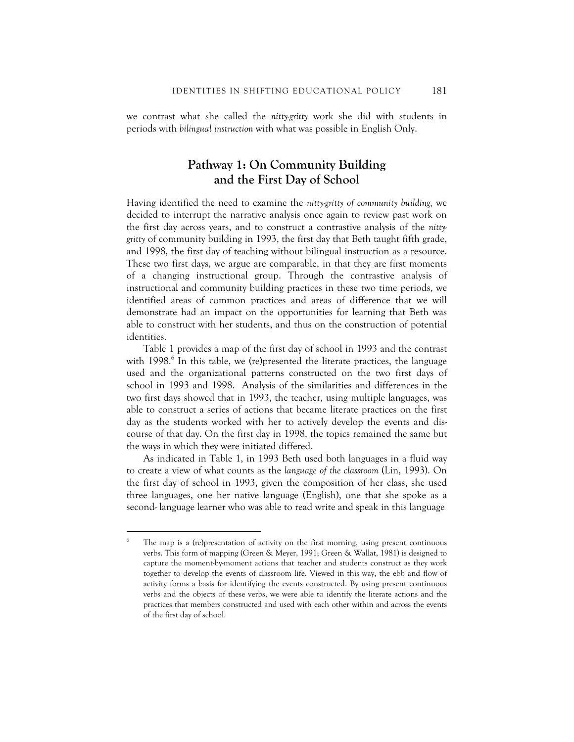we contrast what she called the *nitty-gritty* work she did with students in periods with *bilingual instruction* with what was possible in English Only.

# **Pathway 1: On Community Building and the First Day of School**

Having identified the need to examine the *nitty-gritty of community building,* we decided to interrupt the narrative analysis once again to review past work on the first day across years, and to construct a contrastive analysis of the *nittygritty* of community building in 1993, the first day that Beth taught fifth grade, and 1998, the first day of teaching without bilingual instruction as a resource. These two first days, we argue are comparable, in that they are first moments of a changing instructional group. Through the contrastive analysis of instructional and community building practices in these two time periods, we identified areas of common practices and areas of difference that we will demonstrate had an impact on the opportunities for learning that Beth was able to construct with her students, and thus on the construction of potential identities.

Table 1 provides a map of the first day of school in 1993 and the contrast with 1998.<sup>6</sup> In this table, we (re)presented the literate practices, the language used and the organizational patterns constructed on the two first days of school in 1993 and 1998. Analysis of the similarities and differences in the two first days showed that in 1993, the teacher, using multiple languages, was able to construct a series of actions that became literate practices on the first day as the students worked with her to actively develop the events and discourse of that day. On the first day in 1998, the topics remained the same but the ways in which they were initiated differed.

As indicated in Table 1, in 1993 Beth used both languages in a fluid way to create a view of what counts as the *language of the classroom* (Lin, 1993). On the first day of school in 1993, given the composition of her class, she used three languages, one her native language (English), one that she spoke as a second- language learner who was able to read write and speak in this language

<u>.</u>

<sup>6</sup> The map is a (re)presentation of activity on the first morning, using present continuous verbs. This form of mapping (Green & Meyer, 1991; Green & Wallat, 1981) is designed to capture the moment-by-moment actions that teacher and students construct as they work together to develop the events of classroom life. Viewed in this way, the ebb and flow of activity forms a basis for identifying the events constructed. By using present continuous verbs and the objects of these verbs, we were able to identify the literate actions and the practices that members constructed and used with each other within and across the events of the first day of school.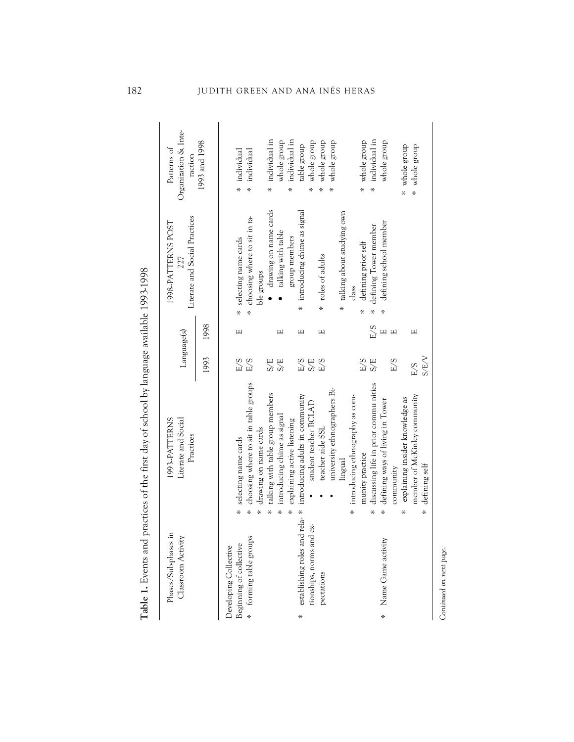*Continued on next page*.

Continued on next page.

182 JUDITH GREEN AND ANA INÉS HERAS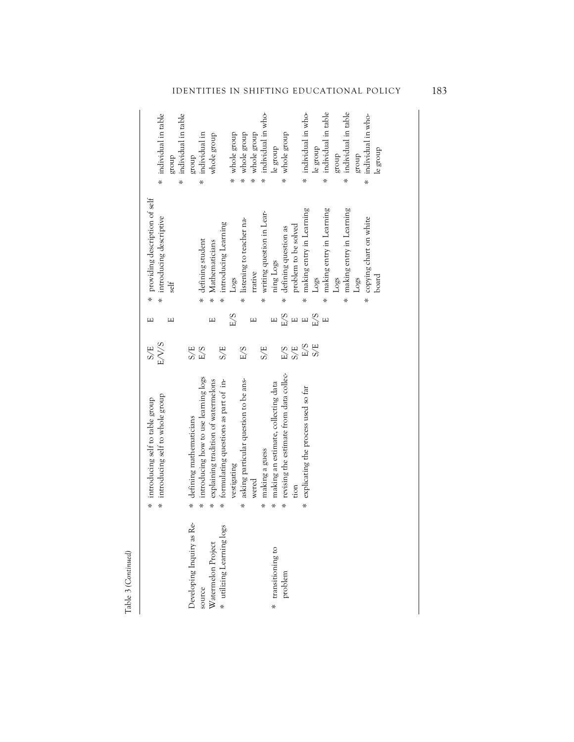|                                                                                        |                         | * introducing self to whole group<br>* introducing self to table group                                                                                                                                          | E/V/S<br>S/E                                                                                                       | щ<br>Щ                                                                 |                                       | * providing description of self<br>introducing descriptive<br>self                                                                                                                                                                    | $\ast$      | * individual in table<br>individual in table<br>dnora                                                                                                                                                     |
|----------------------------------------------------------------------------------------|-------------------------|-----------------------------------------------------------------------------------------------------------------------------------------------------------------------------------------------------------------|--------------------------------------------------------------------------------------------------------------------|------------------------------------------------------------------------|---------------------------------------|---------------------------------------------------------------------------------------------------------------------------------------------------------------------------------------------------------------------------------------|-------------|-----------------------------------------------------------------------------------------------------------------------------------------------------------------------------------------------------------|
| Developing Inquiry as Re-<br>* utilizing Learning logs<br>Watermelon Project<br>source | ¥.<br>*<br>¥.<br>*<br>× | introducing how to use learning logs<br>asking particular question to be ans-<br>explaining tradition of watermelons<br>formulating questions as part of in-<br>defining mathematicians<br>vestigating<br>wered | $E/S$<br>S/E<br>E/S<br>S/E                                                                                         | E/S<br>$\Box$<br>Щ                                                     | ¥,<br>x.<br>*                         | * listening to teacher na-<br>introducing Learning<br>defining student<br>Mathematicians<br>rrative<br>Logs                                                                                                                           | *<br>¥,     | individual in<br>whole group<br>whole group<br>whole group<br>whole group<br>group<br>¥.<br>×                                                                                                             |
| * transitioning to<br>problem                                                          | $\ast$<br>*<br>×<br>*   | revising the estimate from data collec-<br>making an estimate, collecting data<br>explicating the process used so far<br>making a guess<br>tion                                                                 | $\begin{array}{c}\n\Xi \searrow \Xi \searrow \\ \Xi \searrow \Xi \searrow \\ \Xi \searrow \Xi\n\end{array}$<br>S/E | $\begin{array}{c}\n\Xi \\ \Xi\n\end{array}$<br>E/S<br>$\Box$<br>$\Box$ | $\ast$<br>¥,<br>$\ast$<br>*<br>*<br>¥ | making entry in Learning<br>making entry in Learning<br>making entry in Learning<br>writing question in Lear-<br>copying chart on white<br>problem to be solved<br>defining question as<br>ning Logs<br>board<br>Logs<br>Logs<br>Logs | $\ast$<br>× | * individual in who-<br>individual in who-<br>individual in table<br>individual in table<br>individual in who-<br>whole group<br>le group<br>le group<br>le group<br>group<br>group<br>¥.<br>$\ast$<br>¥, |

Table 3 (Continued) Table 3 *(Continued)*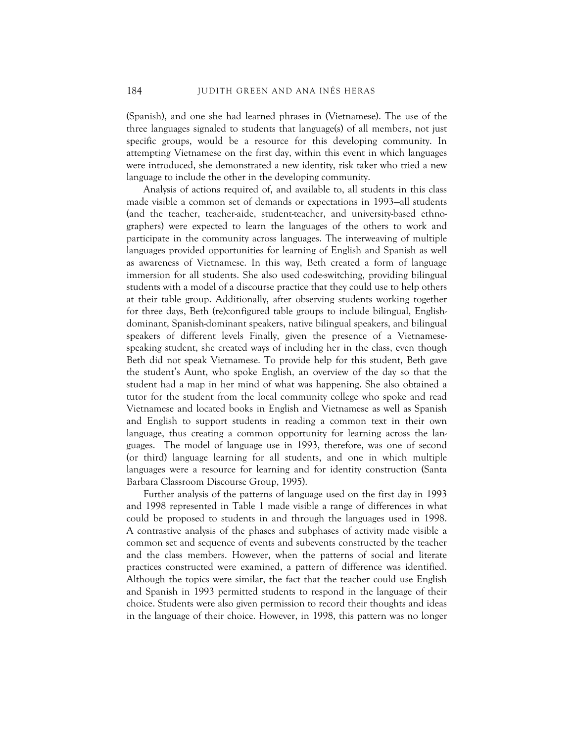(Spanish), and one she had learned phrases in (Vietnamese). The use of the three languages signaled to students that language(s) of all members, not just specific groups, would be a resource for this developing community. In attempting Vietnamese on the first day, within this event in which languages were introduced, she demonstrated a new identity, risk taker who tried a new language to include the other in the developing community.

Analysis of actions required of, and available to, all students in this class made visible a common set of demands or expectations in 1993—all students (and the teacher, teacher-aide, student-teacher, and university-based ethnographers) were expected to learn the languages of the others to work and participate in the community across languages. The interweaving of multiple languages provided opportunities for learning of English and Spanish as well as awareness of Vietnamese. In this way, Beth created a form of language immersion for all students. She also used code-switching, providing bilingual students with a model of a discourse practice that they could use to help others at their table group. Additionally, after observing students working together for three days, Beth (re)configured table groups to include bilingual, Englishdominant, Spanish-dominant speakers, native bilingual speakers, and bilingual speakers of different levels Finally, given the presence of a Vietnamesespeaking student, she created ways of including her in the class, even though Beth did not speak Vietnamese. To provide help for this student, Beth gave the student's Aunt, who spoke English, an overview of the day so that the student had a map in her mind of what was happening. She also obtained a tutor for the student from the local community college who spoke and read Vietnamese and located books in English and Vietnamese as well as Spanish and English to support students in reading a common text in their own language, thus creating a common opportunity for learning across the languages. The model of language use in 1993, therefore, was one of second (or third) language learning for all students, and one in which multiple languages were a resource for learning and for identity construction (Santa Barbara Classroom Discourse Group, 1995).

Further analysis of the patterns of language used on the first day in 1993 and 1998 represented in Table 1 made visible a range of differences in what could be proposed to students in and through the languages used in 1998. A contrastive analysis of the phases and subphases of activity made visible a common set and sequence of events and subevents constructed by the teacher and the class members. However, when the patterns of social and literate practices constructed were examined, a pattern of difference was identified. Although the topics were similar, the fact that the teacher could use English and Spanish in 1993 permitted students to respond in the language of their choice. Students were also given permission to record their thoughts and ideas in the language of their choice. However, in 1998, this pattern was no longer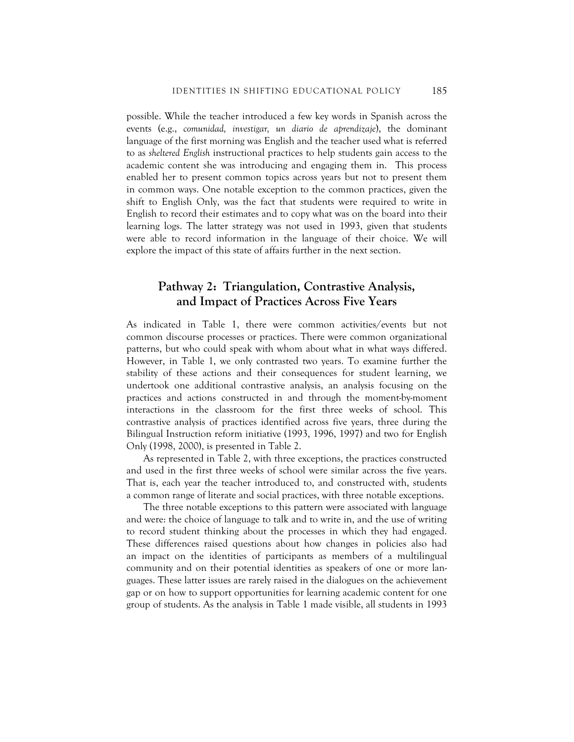possible. While the teacher introduced a few key words in Spanish across the events (e.g., *comunidad, investigar, un diario de aprendizaje*), the dominant language of the first morning was English and the teacher used what is referred to as *sheltered English* instructional practices to help students gain access to the academic content she was introducing and engaging them in. This process enabled her to present common topics across years but not to present them in common ways. One notable exception to the common practices, given the shift to English Only, was the fact that students were required to write in English to record their estimates and to copy what was on the board into their learning logs. The latter strategy was not used in 1993, given that students were able to record information in the language of their choice. We will explore the impact of this state of affairs further in the next section.

#### **Pathway 2: Triangulation, Contrastive Analysis, and Impact of Practices Across Five Years**

As indicated in Table 1, there were common activities/events but not common discourse processes or practices. There were common organizational patterns, but who could speak with whom about what in what ways differed. However, in Table 1, we only contrasted two years. To examine further the stability of these actions and their consequences for student learning, we undertook one additional contrastive analysis, an analysis focusing on the practices and actions constructed in and through the moment-by-moment interactions in the classroom for the first three weeks of school. This contrastive analysis of practices identified across five years, three during the Bilingual Instruction reform initiative (1993, 1996, 1997) and two for English Only (1998, 2000), is presented in Table 2.

As represented in Table 2, with three exceptions, the practices constructed and used in the first three weeks of school were similar across the five years. That is, each year the teacher introduced to, and constructed with, students a common range of literate and social practices, with three notable exceptions.

The three notable exceptions to this pattern were associated with language and were: the choice of language to talk and to write in, and the use of writing to record student thinking about the processes in which they had engaged. These differences raised questions about how changes in policies also had an impact on the identities of participants as members of a multilingual community and on their potential identities as speakers of one or more languages. These latter issues are rarely raised in the dialogues on the achievement gap or on how to support opportunities for learning academic content for one group of students. As the analysis in Table 1 made visible, all students in 1993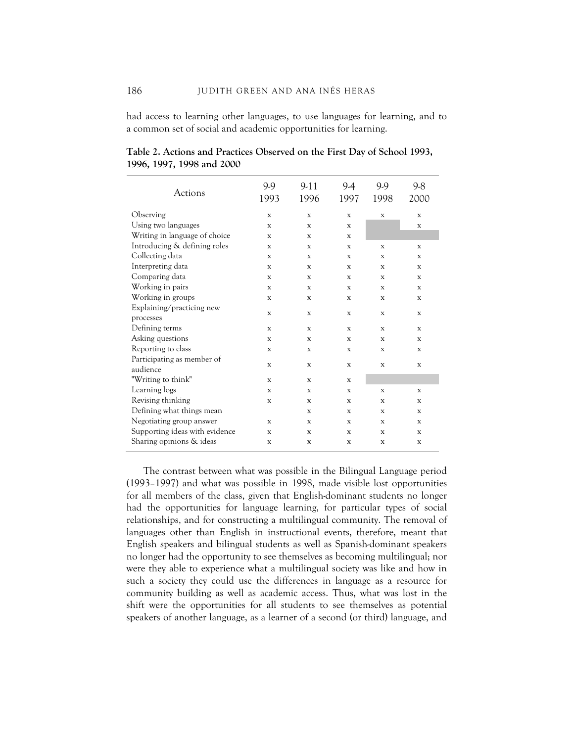had access to learning other languages, to use languages for learning, and to a common set of social and academic opportunities for learning.

| <b>Actions</b>                         | 9.9<br>1993 | $9-11$<br>1996 | 9.4<br>1997 | 9.9<br>1998 | 9.8<br>2000 |
|----------------------------------------|-------------|----------------|-------------|-------------|-------------|
| Observing                              | X           | $\mathbf x$    | $\mathbf x$ | X           | X           |
| Using two languages                    | X           | $\mathbf x$    | $\mathbf x$ |             | $\mathbf x$ |
| Writing in language of choice          | X           | X              | X           |             |             |
| Introducing & defining roles           | X           | X              | X           | X           | X           |
| Collecting data                        | $\mathbf x$ | X              | X           | X           | $\mathbf x$ |
| Interpreting data                      | X           | X              | X           | X           | X           |
| Comparing data                         | X           | X              | X           | X           | X           |
| Working in pairs                       | X           | $\mathbf x$    | X           | X           | X           |
| Working in groups                      | X           | X              | X           | X           | X           |
| Explaining/practicing new              |             | $\mathbf{x}$   |             |             |             |
| processes                              | X           |                | X           | X           | X           |
| Defining terms                         | X           | X              | X           | X           | X           |
| Asking questions                       | X           | X              | X           | X           | X           |
| Reporting to class                     | X           | $\mathbf x$    | X           | X           | X           |
| Participating as member of<br>audience | $\mathbf x$ | $\mathbf x$    | X           | X           | $\mathbf x$ |
| "Writing to think"                     | $\mathbf x$ | X              | X           |             |             |
| Learning logs                          | X           | X              | X           | $\mathbf x$ | X           |
| Revising thinking                      | X           | $\mathbf x$    | X           | X           | X           |
| Defining what things mean              |             | X              | X           | X           | X           |
| Negotiating group answer               | X           | X              | X           | X           | X           |
| Supporting ideas with evidence         | $\mathbf x$ | X              | X           | X           | X           |
| Sharing opinions & ideas               | X           | $\mathbf x$    | X           | X           | X           |

**Table 2. Actions and Practices Observed on the First Day of School 1993, 1996, 1997, 1998 and 2000** 

The contrast between what was possible in the Bilingual Language period (1993–1997) and what was possible in 1998, made visible lost opportunities for all members of the class, given that English-dominant students no longer had the opportunities for language learning, for particular types of social relationships, and for constructing a multilingual community. The removal of languages other than English in instructional events, therefore, meant that English speakers and bilingual students as well as Spanish-dominant speakers no longer had the opportunity to see themselves as becoming multilingual; nor were they able to experience what a multilingual society was like and how in such a society they could use the differences in language as a resource for community building as well as academic access. Thus, what was lost in the shift were the opportunities for all students to see themselves as potential speakers of another language, as a learner of a second (or third) language, and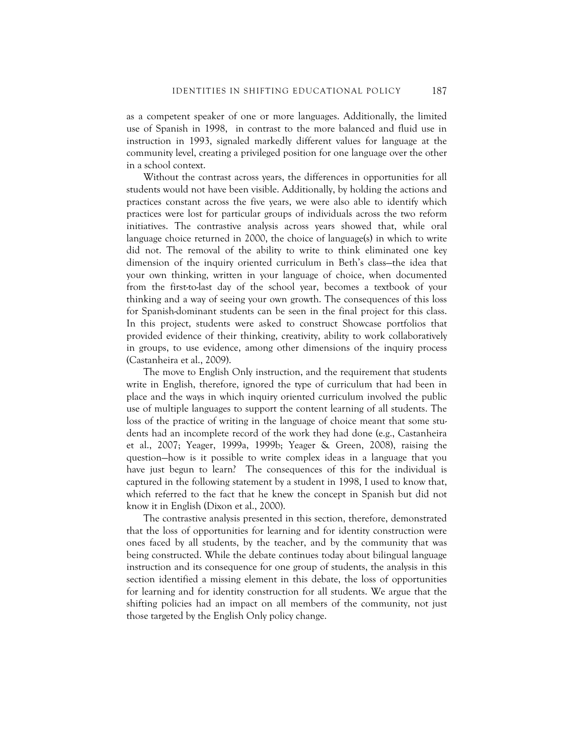as a competent speaker of one or more languages. Additionally, the limited use of Spanish in 1998, in contrast to the more balanced and fluid use in instruction in 1993, signaled markedly different values for language at the community level, creating a privileged position for one language over the other in a school context.

Without the contrast across years, the differences in opportunities for all students would not have been visible. Additionally, by holding the actions and practices constant across the five years, we were also able to identify which practices were lost for particular groups of individuals across the two reform initiatives. The contrastive analysis across years showed that, while oral language choice returned in 2000, the choice of language(s) in which to write did not. The removal of the ability to write to think eliminated one key dimension of the inquiry oriented curriculum in Beth's class—the idea that your own thinking, written in your language of choice, when documented from the first-to-last day of the school year, becomes a textbook of your thinking and a way of seeing your own growth. The consequences of this loss for Spanish-dominant students can be seen in the final project for this class. In this project, students were asked to construct Showcase portfolios that provided evidence of their thinking, creativity, ability to work collaboratively in groups, to use evidence, among other dimensions of the inquiry process (Castanheira et al., 2009).

The move to English Only instruction, and the requirement that students write in English, therefore, ignored the type of curriculum that had been in place and the ways in which inquiry oriented curriculum involved the public use of multiple languages to support the content learning of all students. The loss of the practice of writing in the language of choice meant that some students had an incomplete record of the work they had done (e.g., Castanheira et al., 2007; Yeager, 1999a, 1999b; Yeager & Green, 2008), raising the question—how is it possible to write complex ideas in a language that you have just begun to learn? The consequences of this for the individual is captured in the following statement by a student in 1998, I used to know that, which referred to the fact that he knew the concept in Spanish but did not know it in English (Dixon et al., 2000).

The contrastive analysis presented in this section, therefore, demonstrated that the loss of opportunities for learning and for identity construction were ones faced by all students, by the teacher, and by the community that was being constructed. While the debate continues today about bilingual language instruction and its consequence for one group of students, the analysis in this section identified a missing element in this debate, the loss of opportunities for learning and for identity construction for all students. We argue that the shifting policies had an impact on all members of the community, not just those targeted by the English Only policy change.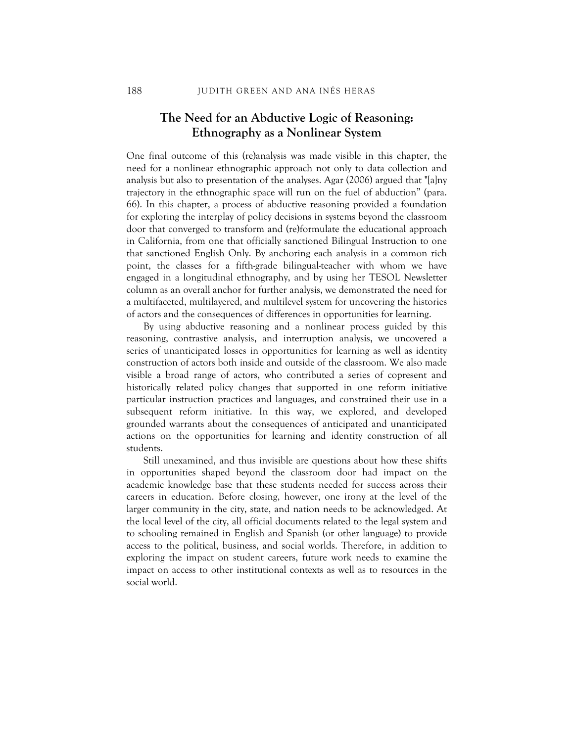#### **The Need for an Abductive Logic of Reasoning: Ethnography as a Nonlinear System**

One final outcome of this (re)analysis was made visible in this chapter, the need for a nonlinear ethnographic approach not only to data collection and analysis but also to presentation of the analyses. Agar (2006) argued that "[a]ny trajectory in the ethnographic space will run on the fuel of abduction" (para. 66). In this chapter, a process of abductive reasoning provided a foundation for exploring the interplay of policy decisions in systems beyond the classroom door that converged to transform and (re)formulate the educational approach in California, from one that officially sanctioned Bilingual Instruction to one that sanctioned English Only. By anchoring each analysis in a common rich point, the classes for a fifth-grade bilingual-teacher with whom we have engaged in a longitudinal ethnography, and by using her TESOL Newsletter column as an overall anchor for further analysis, we demonstrated the need for a multifaceted, multilayered, and multilevel system for uncovering the histories of actors and the consequences of differences in opportunities for learning.

By using abductive reasoning and a nonlinear process guided by this reasoning, contrastive analysis, and interruption analysis, we uncovered a series of unanticipated losses in opportunities for learning as well as identity construction of actors both inside and outside of the classroom. We also made visible a broad range of actors, who contributed a series of copresent and historically related policy changes that supported in one reform initiative particular instruction practices and languages, and constrained their use in a subsequent reform initiative. In this way, we explored, and developed grounded warrants about the consequences of anticipated and unanticipated actions on the opportunities for learning and identity construction of all students.

Still unexamined, and thus invisible are questions about how these shifts in opportunities shaped beyond the classroom door had impact on the academic knowledge base that these students needed for success across their careers in education. Before closing, however, one irony at the level of the larger community in the city, state, and nation needs to be acknowledged. At the local level of the city, all official documents related to the legal system and to schooling remained in English and Spanish (or other language) to provide access to the political, business, and social worlds. Therefore, in addition to exploring the impact on student careers, future work needs to examine the impact on access to other institutional contexts as well as to resources in the social world.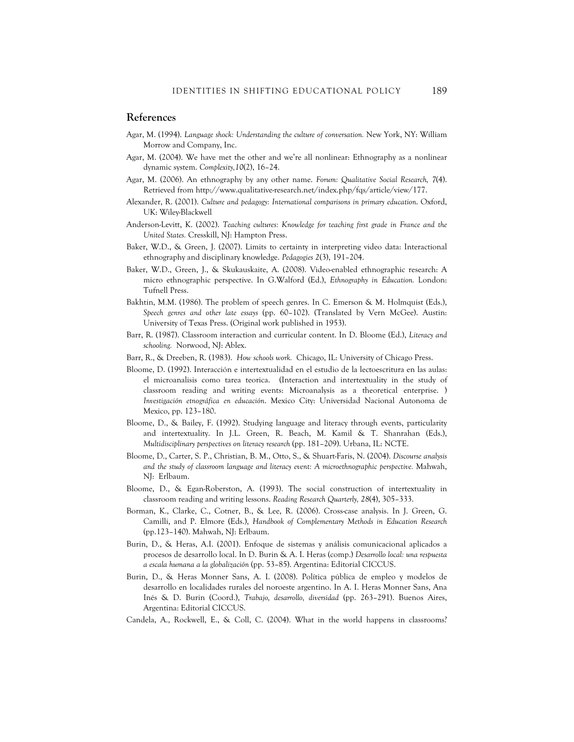#### **References**

- Agar, M. (1994). *Language shock: Understanding the culture of conversation.* New York, NY: William Morrow and Company, Inc.
- Agar, M. (2004). We have met the other and we're all nonlinear: Ethnography as a nonlinear dynamic system. *Complexity,10*(2), 16–24.
- Agar, M. (2006). An ethnography by any other name. *Forum: Qualitative Social Research, 7*(4). Retrieved from http://www.qualitative-research.net/index.php/fqs/article/view/177.
- Alexander, R. (2001). *Culture and pedagogy: International comparisons in primary education*. Oxford, UK: Wiley-Blackwell
- Anderson-Levitt, K. (2002). *Teaching cultures: Knowledge for teaching first grade in France and the United States.* Cresskill, NJ: Hampton Press.
- Baker, W.D., & Green, J. (2007). Limits to certainty in interpreting video data: Interactional ethnography and disciplinary knowledge. *Pedagogies 2*(3), 191–204.
- Baker, W.D., Green, J., & Skukauskaite, A. (2008). Video-enabled ethnographic research: A micro ethnographic perspective. In G.Walford (Ed.), *Ethnography in Education.* London: Tufnell Press.
- Bakhtin, M.M. (1986). The problem of speech genres. In C. Emerson & M. Holmquist (Eds.), *Speech genres and other late essays* (pp. 60–102). (Translated by Vern McGee). Austin: University of Texas Press. (Original work published in 1953).
- Barr, R. (1987). Classroom interaction and curricular content. In D. Bloome (Ed.), *Literacy and schooling.* Norwood, NJ: Ablex.
- Barr, R., & Dreeben, R. (1983). *How schools work.* Chicago, IL: University of Chicago Press.
- Bloome, D. (1992). Interacción e intertextualidad en el estudio de la lectoescritura en las aulas: el microanalisis como tarea teorica. (Interaction and intertextuality in the study of classroom reading and writing events: Microanalysis as a theoretical enterprise. ) *Investigación etnográfica en educación*. Mexico City: Universidad Nacional Autonoma de Mexico, pp. 123–180.
- Bloome, D., & Bailey, F. (1992). Studying language and literacy through events, particularity and intertextuality. In J.L. Green, R. Beach, M. Kamil & T. Shanrahan (Eds.), *Multidisciplinary perspectives on literacy research* (pp. 181–209). Urbana, IL: NCTE.
- Bloome, D., Carter, S. P., Christian, B. M., Otto, S., & Shuart-Faris, N. (2004). *Discourse analysis and the study of classroom language and literacy event: A microethnographic perspective.* Mahwah, NJ: Erlbaum.
- Bloome, D., & Egan-Roberston, A. (1993). The social construction of intertextuality in classroom reading and writing lessons. *Reading Research Quarterly, 28*(4), 305–333.
- Borman, K., Clarke, C., Cotner, B., & Lee, R. (2006). Cross-case analysis. In J. Green, G. Camilli, and P. Elmore (Eds.), *Handbook of Complementary Methods in Education Research*  (pp.123–140). Mahwah, NJ: Erlbaum.
- Burin, D., & Heras, A.I. (2001). Enfoque de sistemas y análisis comunicacional aplicados a procesos de desarrollo local. In D. Burin & A. I. Heras (comp.) *Desarrollo local: una respuesta a escala humana a la globalización* (pp. 53–85). Argentina: Editorial CICCUS.
- Burin, D., & Heras Monner Sans, A. I. (2008). Política pública de empleo y modelos de desarrollo en localidades rurales del noroeste argentino. In A. I. Heras Monner Sans, Ana Inés & D. Burin (Coord.), *Trabajo, desarrollo, diversidad* (pp. 263–291). Buenos Aires, Argentina: Editorial CICCUS.
- Candela, A., Rockwell, E., & Coll, C. (2004). What in the world happens in classrooms?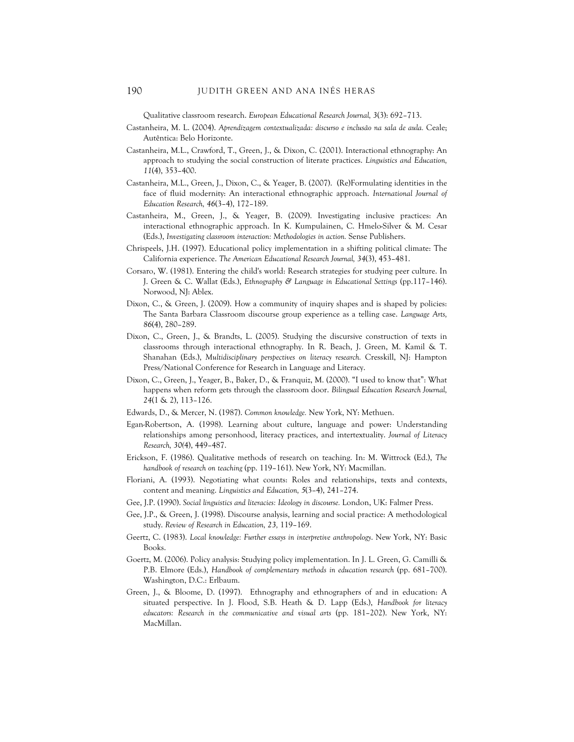Qualitative classroom research. *European Educational Research Journal, 3*(3): 692–713.

- Castanheira, M. L. (2004). *Aprendizagem contextualizada: discurso e inclusão na sala de aula.* Ceale; Autêntica: Belo Horizonte.
- Castanheira, M.L., Crawford, T., Green, J., & Dixon, C. (2001). Interactional ethnography: An approach to studying the social construction of literate practices. *Linguistics and Education, 11*(4), 353–400.
- Castanheira, M.L., Green, J., Dixon, C., & Yeager, B. (2007). (Re)Formulating identities in the face of fluid modernity: An interactional ethnographic approach. *International Journal of Education Research, 46*(3–4), 172–189.
- Castanheira, M., Green, J., & Yeager, B. (2009). Investigating inclusive practices: An interactional ethnographic approach. In K. Kumpulainen, C. Hmelo-Silver & M. Cesar (Eds.), *Investigating classroom interaction: Methodologies in action.* Sense Publishers.
- Chrispeels, J.H. (1997). Educational policy implementation in a shifting political climate: The California experience. *The American Educational Research Journal, 34*(3), 453–481.
- Corsaro, W. (1981). Entering the child's world: Research strategies for studying peer culture. In J. Green & C. Wallat (Eds.), *Ethnography & Language in Educational Settings* (pp.117–146). Norwood, NJ: Ablex.
- Dixon, C., & Green, J. (2009). How a community of inquiry shapes and is shaped by policies: The Santa Barbara Classroom discourse group experience as a telling case. *Language Arts, 86*(4), 280–289.
- Dixon, C., Green, J., & Brandts, L. (2005). Studying the discursive construction of texts in classrooms through interactional ethnography. In R. Beach, J. Green, M. Kamil & T. Shanahan (Eds.), *Multidisciplinary perspectives on literacy research.* Cresskill, NJ: Hampton Press/National Conference for Research in Language and Literacy.
- Dixon, C., Green, J., Yeager, B., Baker, D., & Franquiz, M. (2000). "I used to know that": What happens when reform gets through the classroom door. *Bilingual Education Research Journal, 24*(1 & 2), 113–126.
- Edwards, D., & Mercer, N. (1987). *Common knowledge.* New York, NY: Methuen.
- Egan-Robertson, A. (1998). Learning about culture, language and power: Understanding relationships among personhood, literacy practices, and intertextuality. *Journal of Literacy Research, 30(*4), 449–487.
- Erickson, F. (1986). Qualitative methods of research on teaching. In: M. Wittrock (Ed.), *The handbook of research on teaching* (pp. 119–161). New York, NY: Macmillan.
- Floriani, A. (1993). Negotiating what counts: Roles and relationships, texts and contexts, content and meaning. *Linguistics and Education, 5*(3–4), 241–274.
- Gee, J.P. (1990). *Social linguistics and literacies: Ideology in discourse.* London, UK: Falmer Press.
- Gee, J.P., & Green, J. (1998). Discourse analysis, learning and social practice: A methodological study. *Review of Research in Education, 23,* 119–169.
- Geertz, C. (1983). *Local knowledge: Further essays in interpretive anthropology*. New York, NY: Basic Books.
- Goertz, M. (2006). Policy analysis: Studying policy implementation. In J. L. Green, G. Camilli & P.B. Elmore (Eds.), *Handbook of complementary methods in education research* (pp. 681–700). Washington, D.C.: Erlbaum.
- Green, J., & Bloome, D. (1997). Ethnography and ethnographers of and in education: A situated perspective. In J. Flood, S.B. Heath & D. Lapp (Eds.), *Handbook for literacy educators: Research in the communicative and visual arts* (pp. 181–202). New York, NY: MacMillan.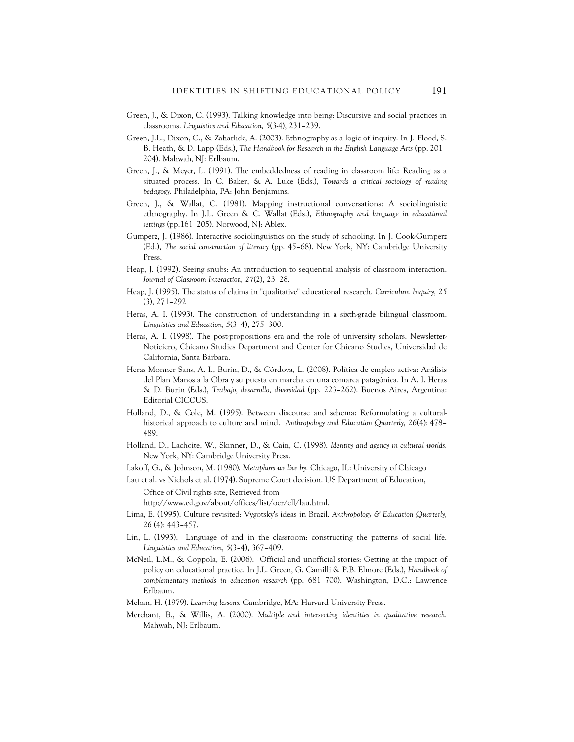- Green, J., & Dixon, C. (1993). Talking knowledge into being: Discursive and social practices in classrooms. *Linguistics and Education, 5*(3-4), 231–239.
- Green, J.L., Dixon, C., & Zaharlick, A. (2003). Ethnography as a logic of inquiry. In J. Flood, S. B. Heath, & D. Lapp (Eds.), *The Handbook for Research in the English Language Arts* (pp. 201– 204). Mahwah, NJ: Erlbaum.
- Green, J., & Meyer, L. (1991). The embeddedness of reading in classroom life: Reading as a situated process. In C. Baker, & A. Luke (Eds.), *Towards a critical sociology of reading pedagogy.* Philadelphia, PA: John Benjamins.
- Green, J., & Wallat, C. (1981). Mapping instructional conversations: A sociolinguistic ethnography. In J.L. Green & C. Wallat (Eds.), *Ethnography and language in educational settings* (pp.161–205). Norwood, NJ: Ablex.
- Gumperz, J. (1986). Interactive sociolinguistics on the study of schooling. In J. Cook-Gumperz (Ed.), *The social construction of literacy* (pp. 45–68). New York, NY: Cambridge University Press.
- Heap, J. (1992). Seeing snubs: An introduction to sequential analysis of classroom interaction. *Journal of Classroom Interaction, 27*(2), 23–28.
- Heap, J. (1995). The status of claims in "qualitative" educational research. *Curriculum Inquiry, 25* (3), 271–292
- Heras, A. I. (1993). The construction of understanding in a sixth-grade bilingual classroom. *Linguistics and Education, 5*(3–4), 275–300.
- Heras, A. I. (1998). The post-propositions era and the role of university scholars. Newsletter-Noticiero, Chicano Studies Department and Center for Chicano Studies, Universidad de California, Santa Bárbara.
- Heras Monner Sans, A. I., Burin, D., & Córdova, L. (2008). Política de empleo activa: Análisis del Plan Manos a la Obra y su puesta en marcha en una comarca patagónica. In A. I. Heras & D. Burin (Eds.), *Trabajo, desarrollo, diversidad* (pp. 223–262). Buenos Aires, Argentina: Editorial CICCUS.
- Holland, D., & Cole, M. (1995). Between discourse and schema: Reformulating a culturalhistorical approach to culture and mind. *Anthropology and Education Quarterly, 26*(4): 478– 489.
- Holland, D., Lachoite, W., Skinner, D., & Cain, C. (1998). *Identity and agency in cultural worlds.*  New York, NY: Cambridge University Press.
- Lakoff, G., & Johnson, M. (1980). *Metaphors we live by.* Chicago, IL: University of Chicago
- Lau et al. vs Nichols et al. (1974). Supreme Court decision. US Department of Education, Office of Civil rights site, Retrieved from

http://www.ed.gov/about/offices/list/ocr/ell/lau.html.

- Lima, E. (1995). Culture revisited: Vygotsky's ideas in Brazil. *Anthropology & Education Quarterly, 26* (4): 443–457.
- Lin, L. (1993). Language of and in the classroom: constructing the patterns of social life. *Linguistics and Education, 5*(3–4), 367–409.
- McNeil, L.M., & Coppola, E. (2006). Official and unofficial stories: Getting at the impact of policy on educational practice. In J.L. Green, G. Camilli & P.B. Elmore (Eds.), *Handbook of complementary methods in education research* (pp. 681–700). Washington, D.C.: Lawrence Erlbaum.
- Mehan, H. (1979). *Learning lessons.* Cambridge, MA: Harvard University Press.
- Merchant, B., & Willis, A. (2000). *Multiple and intersecting identities in qualitative research.* Mahwah, NJ: Erlbaum.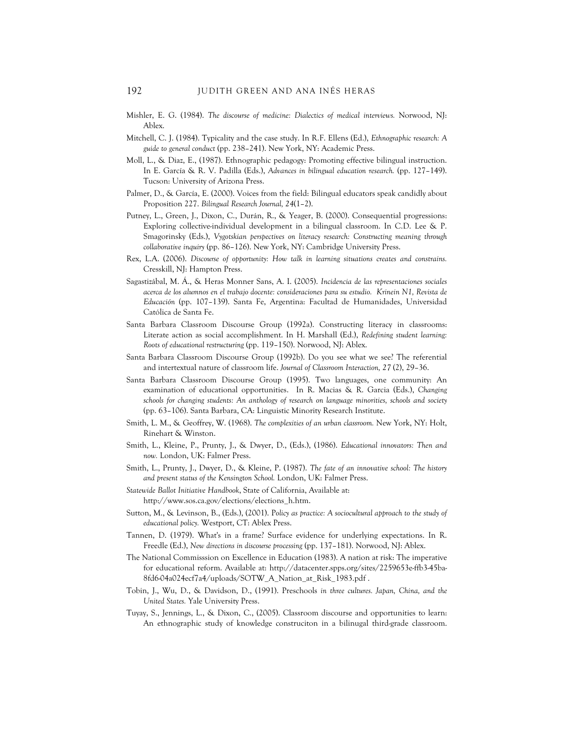- Mishler, E. G. (1984). *The discourse of medicine: Dialectics of medical interviews.* Norwood, NJ: Ablex.
- Mitchell, C. J. (1984). Typicality and the case study. In R.F. Ellens (Ed.), *Ethnographic research: A guide to general conduct* (pp. 238–241). New York, NY: Academic Press.
- Moll, L., & Diaz, E., (1987). Ethnographic pedagogy: Promoting effective bilingual instruction. In E. García & R. V. Padilla (Eds.), *Advances in bilingual education research.* (pp. 127–149). Tucson: University of Arizona Press.
- Palmer, D., & García, E. (2000). Voices from the field: Bilingual educators speak candidly about Proposition 227. *Bilingual Research Journal, 24*(1–2).
- Putney, L., Green, J., Dixon, C., Durán, R., & Yeager, B. (2000). Consequential progressions: Exploring collective-individual development in a bilingual classroom. In C.D. Lee & P. Smagorinsky (Eds.), *Vygotskian perspectives on literacy research: Constructing meaning through collaborative inquiry* (pp. 86–126). New York, NY: Cambridge University Press.
- Rex, L.A. (2006). *Discourse of opportunity: How talk in learning situations creates and constrains.* Cresskill, NJ: Hampton Press.
- Sagastizábal, M. Á., & Heras Monner Sans, A. I. (2005). *Incidencia de las representaciones sociales acerca de los alumnos en el trabajo docente: consideraciones para su estudio. Krinein N1, Revista de Educación* (pp. 107–139). Santa Fe, Argentina: Facultad de Humanidades, Universidad Católica de Santa Fe.
- Santa Barbara Classroom Discourse Group (1992a). Constructing literacy in classrooms: Literate action as social accomplishment. In H. Marshall (Ed.), *Redefining student learning: Roots of educational restructuring* (pp. 119–150). Norwood, NJ: Ablex.
- Santa Barbara Classroom Discourse Group (1992b). Do you see what we see? The referential and intertextual nature of classroom life. *Journal of Classroom Interaction, 27* (2), 29–36.
- Santa Barbara Classroom Discourse Group (1995). Two languages, one community: An examination of educational opportunities. In R. Macias & R. Garcia (Eds.), *Changing schools for changing students: An anthology of research on language minorities, schools and society* (pp. 63–106). Santa Barbara, CA: Linguistic Minority Research Institute.
- Smith, L. M., & Geoffrey, W. (1968). *The complexities of an urban classroom.* New York, NY: Holt, Rinehart & Winston.
- Smith, L., Kleine, P., Prunty, J., & Dwyer, D., (Eds.), (1986). *Educational innovators: Then and now.* London, UK: Falmer Press.
- Smith, L., Prunty, J., Dwyer, D., & Kleine, P. (1987). *The fate of an innovative school: The history and present status of the Kensington School.* London, UK: Falmer Press.
- *Statewide Ballot Initiative Handbook*, State of California, Available at: http://www.sos.ca.gov/elections/elections\_h.htm.
- Sutton, M., & Levinson, B., (Eds.), (2001). P*olicy as practice: A sociocultural approach to the study of educational policy.* Westport, CT: Ablex Press.
- Tannen, D. (1979). What's in a frame? Surface evidence for underlying expectations. In R. Freedle (Ed.), *New directions in discourse processing* (pp. 137–181). Norwood, NJ: Ablex.
- The National Commisssion on Excellence in Education (1983). A nation at risk: The imperative for educational reform. Available at: http://datacenter.spps.org/sites/2259653e-ffb3-45ba-8fd6-04a024ecf7a4/uploads/SOTW\_A\_Nation\_at\_Risk\_1983.pdf .
- Tobin, J., Wu, D., & Davidson, D., (1991). Preschools *in three cultures. Japan, China, and the United States.* Yale University Press.
- Tuyay, S., Jennings, L., & Dixon, C., (2005). Classroom discourse and opportunities to learn: An ethnographic study of knowledge construciton in a bilinugal third-grade classroom.